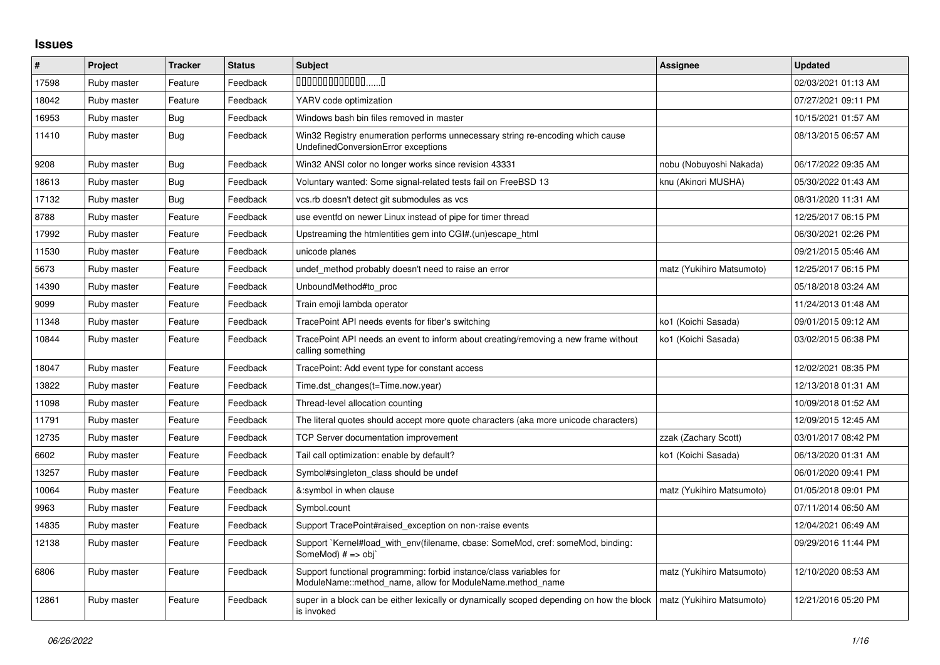## **Issues**

| #     | Project     | <b>Tracker</b> | <b>Status</b> | <b>Subject</b>                                                                                                                   | <b>Assignee</b>           | <b>Updated</b>      |
|-------|-------------|----------------|---------------|----------------------------------------------------------------------------------------------------------------------------------|---------------------------|---------------------|
| 17598 | Ruby master | Feature        | Feedback      | $0000000000000010$                                                                                                               |                           | 02/03/2021 01:13 AM |
| 18042 | Ruby master | Feature        | Feedback      | YARV code optimization                                                                                                           |                           | 07/27/2021 09:11 PM |
| 16953 | Ruby master | Bug            | Feedback      | Windows bash bin files removed in master                                                                                         |                           | 10/15/2021 01:57 AM |
| 11410 | Ruby master | Bug            | Feedback      | Win32 Registry enumeration performs unnecessary string re-encoding which cause<br>UndefinedConversionError exceptions            |                           | 08/13/2015 06:57 AM |
| 9208  | Ruby master | Bug            | Feedback      | Win32 ANSI color no longer works since revision 43331                                                                            | nobu (Nobuyoshi Nakada)   | 06/17/2022 09:35 AM |
| 18613 | Ruby master | Bug            | Feedback      | Voluntary wanted: Some signal-related tests fail on FreeBSD 13                                                                   | knu (Akinori MUSHA)       | 05/30/2022 01:43 AM |
| 17132 | Ruby master | <b>Bug</b>     | Feedback      | vcs.rb doesn't detect git submodules as vcs                                                                                      |                           | 08/31/2020 11:31 AM |
| 8788  | Ruby master | Feature        | Feedback      | use eventfd on newer Linux instead of pipe for timer thread                                                                      |                           | 12/25/2017 06:15 PM |
| 17992 | Ruby master | Feature        | Feedback      | Upstreaming the htmlentities gem into CGI#.(un)escape_html                                                                       |                           | 06/30/2021 02:26 PM |
| 11530 | Ruby master | Feature        | Feedback      | unicode planes                                                                                                                   |                           | 09/21/2015 05:46 AM |
| 5673  | Ruby master | Feature        | Feedback      | undef method probably doesn't need to raise an error                                                                             | matz (Yukihiro Matsumoto) | 12/25/2017 06:15 PM |
| 14390 | Ruby master | Feature        | Feedback      | UnboundMethod#to proc                                                                                                            |                           | 05/18/2018 03:24 AM |
| 9099  | Ruby master | Feature        | Feedback      | Train emoji lambda operator                                                                                                      |                           | 11/24/2013 01:48 AM |
| 11348 | Ruby master | Feature        | Feedback      | TracePoint API needs events for fiber's switching                                                                                | ko1 (Koichi Sasada)       | 09/01/2015 09:12 AM |
| 10844 | Ruby master | Feature        | Feedback      | TracePoint API needs an event to inform about creating/removing a new frame without<br>calling something                         | ko1 (Koichi Sasada)       | 03/02/2015 06:38 PM |
| 18047 | Ruby master | Feature        | Feedback      | TracePoint: Add event type for constant access                                                                                   |                           | 12/02/2021 08:35 PM |
| 13822 | Ruby master | Feature        | Feedback      | Time.dst_changes(t=Time.now.year)                                                                                                |                           | 12/13/2018 01:31 AM |
| 11098 | Ruby master | Feature        | Feedback      | Thread-level allocation counting                                                                                                 |                           | 10/09/2018 01:52 AM |
| 11791 | Ruby master | Feature        | Feedback      | The literal quotes should accept more quote characters (aka more unicode characters)                                             |                           | 12/09/2015 12:45 AM |
| 12735 | Ruby master | Feature        | Feedback      | <b>TCP Server documentation improvement</b>                                                                                      | zzak (Zachary Scott)      | 03/01/2017 08:42 PM |
| 6602  | Ruby master | Feature        | Feedback      | Tail call optimization: enable by default?                                                                                       | ko1 (Koichi Sasada)       | 06/13/2020 01:31 AM |
| 13257 | Ruby master | Feature        | Feedback      | Symbol#singleton class should be undef                                                                                           |                           | 06/01/2020 09:41 PM |
| 10064 | Ruby master | Feature        | Feedback      | &:symbol in when clause                                                                                                          | matz (Yukihiro Matsumoto) | 01/05/2018 09:01 PM |
| 9963  | Ruby master | Feature        | Feedback      | Symbol.count                                                                                                                     |                           | 07/11/2014 06:50 AM |
| 14835 | Ruby master | Feature        | Feedback      | Support TracePoint#raised exception on non-:raise events                                                                         |                           | 12/04/2021 06:49 AM |
| 12138 | Ruby master | Feature        | Feedback      | Support `Kernel#load with env(filename, cbase: SomeMod, cref: someMod, binding:<br>SomeMod) $# \Rightarrow$ obj`                 |                           | 09/29/2016 11:44 PM |
| 6806  | Ruby master | Feature        | Feedback      | Support functional programming: forbid instance/class variables for<br>ModuleName::method name, allow for ModuleName.method name | matz (Yukihiro Matsumoto) | 12/10/2020 08:53 AM |
| 12861 | Ruby master | Feature        | Feedback      | super in a block can be either lexically or dynamically scoped depending on how the block<br>is invoked                          | matz (Yukihiro Matsumoto) | 12/21/2016 05:20 PM |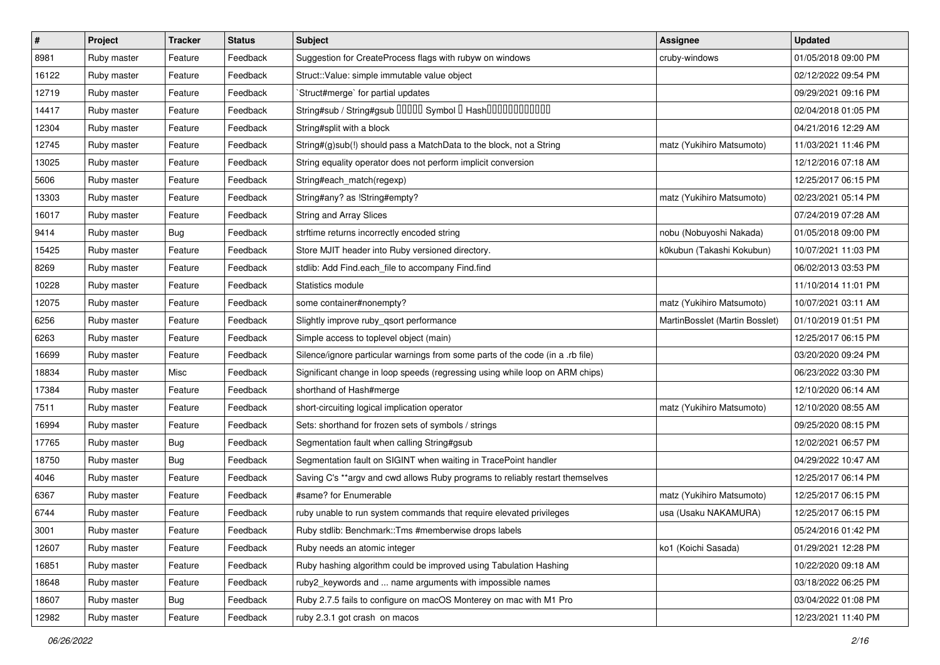| $\sharp$ | Project     | <b>Tracker</b> | <b>Status</b> | <b>Subject</b>                                                                 | Assignee                       | <b>Updated</b>      |
|----------|-------------|----------------|---------------|--------------------------------------------------------------------------------|--------------------------------|---------------------|
| 8981     | Ruby master | Feature        | Feedback      | Suggestion for CreateProcess flags with rubyw on windows                       | cruby-windows                  | 01/05/2018 09:00 PM |
| 16122    | Ruby master | Feature        | Feedback      | Struct::Value: simple immutable value object                                   |                                | 02/12/2022 09:54 PM |
| 12719    | Ruby master | Feature        | Feedback      | 'Struct#merge' for partial updates                                             |                                | 09/29/2021 09:16 PM |
| 14417    | Ruby master | Feature        | Feedback      | String#sub / String#gsub 00000 Symbol 0 Hash000000000000                       |                                | 02/04/2018 01:05 PM |
| 12304    | Ruby master | Feature        | Feedback      | String#split with a block                                                      |                                | 04/21/2016 12:29 AM |
| 12745    | Ruby master | Feature        | Feedback      | String#(g)sub(!) should pass a MatchData to the block, not a String            | matz (Yukihiro Matsumoto)      | 11/03/2021 11:46 PM |
| 13025    | Ruby master | Feature        | Feedback      | String equality operator does not perform implicit conversion                  |                                | 12/12/2016 07:18 AM |
| 5606     | Ruby master | Feature        | Feedback      | String#each_match(regexp)                                                      |                                | 12/25/2017 06:15 PM |
| 13303    | Ruby master | Feature        | Feedback      | String#any? as !String#empty?                                                  | matz (Yukihiro Matsumoto)      | 02/23/2021 05:14 PM |
| 16017    | Ruby master | Feature        | Feedback      | <b>String and Array Slices</b>                                                 |                                | 07/24/2019 07:28 AM |
| 9414     | Ruby master | <b>Bug</b>     | Feedback      | strftime returns incorrectly encoded string                                    | nobu (Nobuyoshi Nakada)        | 01/05/2018 09:00 PM |
| 15425    | Ruby master | Feature        | Feedback      | Store MJIT header into Ruby versioned directory.                               | k0kubun (Takashi Kokubun)      | 10/07/2021 11:03 PM |
| 8269     | Ruby master | Feature        | Feedback      | stdlib: Add Find.each_file to accompany Find.find                              |                                | 06/02/2013 03:53 PM |
| 10228    | Ruby master | Feature        | Feedback      | Statistics module                                                              |                                | 11/10/2014 11:01 PM |
| 12075    | Ruby master | Feature        | Feedback      | some container#nonempty?                                                       | matz (Yukihiro Matsumoto)      | 10/07/2021 03:11 AM |
| 6256     | Ruby master | Feature        | Feedback      | Slightly improve ruby_qsort performance                                        | MartinBosslet (Martin Bosslet) | 01/10/2019 01:51 PM |
| 6263     | Ruby master | Feature        | Feedback      | Simple access to toplevel object (main)                                        |                                | 12/25/2017 06:15 PM |
| 16699    | Ruby master | Feature        | Feedback      | Silence/ignore particular warnings from some parts of the code (in a .rb file) |                                | 03/20/2020 09:24 PM |
| 18834    | Ruby master | Misc           | Feedback      | Significant change in loop speeds (regressing using while loop on ARM chips)   |                                | 06/23/2022 03:30 PM |
| 17384    | Ruby master | Feature        | Feedback      | shorthand of Hash#merge                                                        |                                | 12/10/2020 06:14 AM |
| 7511     | Ruby master | Feature        | Feedback      | short-circuiting logical implication operator                                  | matz (Yukihiro Matsumoto)      | 12/10/2020 08:55 AM |
| 16994    | Ruby master | Feature        | Feedback      | Sets: shorthand for frozen sets of symbols / strings                           |                                | 09/25/2020 08:15 PM |
| 17765    | Ruby master | Bug            | Feedback      | Segmentation fault when calling String#gsub                                    |                                | 12/02/2021 06:57 PM |
| 18750    | Ruby master | <b>Bug</b>     | Feedback      | Segmentation fault on SIGINT when waiting in TracePoint handler                |                                | 04/29/2022 10:47 AM |
| 4046     | Ruby master | Feature        | Feedback      | Saving C's **argv and cwd allows Ruby programs to reliably restart themselves  |                                | 12/25/2017 06:14 PM |
| 6367     | Ruby master | Feature        | Feedback      | #same? for Enumerable                                                          | matz (Yukihiro Matsumoto)      | 12/25/2017 06:15 PM |
| 6744     | Ruby master | Feature        | Feedback      | ruby unable to run system commands that require elevated privileges            | usa (Usaku NAKAMURA)           | 12/25/2017 06:15 PM |
| 3001     | Ruby master | Feature        | Feedback      | Ruby stdlib: Benchmark::Tms #memberwise drops labels                           |                                | 05/24/2016 01:42 PM |
| 12607    | Ruby master | Feature        | Feedback      | Ruby needs an atomic integer                                                   | ko1 (Koichi Sasada)            | 01/29/2021 12:28 PM |
| 16851    | Ruby master | Feature        | Feedback      | Ruby hashing algorithm could be improved using Tabulation Hashing              |                                | 10/22/2020 09:18 AM |
| 18648    | Ruby master | Feature        | Feedback      | ruby2_keywords and  name arguments with impossible names                       |                                | 03/18/2022 06:25 PM |
| 18607    | Ruby master | <b>Bug</b>     | Feedback      | Ruby 2.7.5 fails to configure on macOS Monterey on mac with M1 Pro             |                                | 03/04/2022 01:08 PM |
| 12982    | Ruby master | Feature        | Feedback      | ruby 2.3.1 got crash on macos                                                  |                                | 12/23/2021 11:40 PM |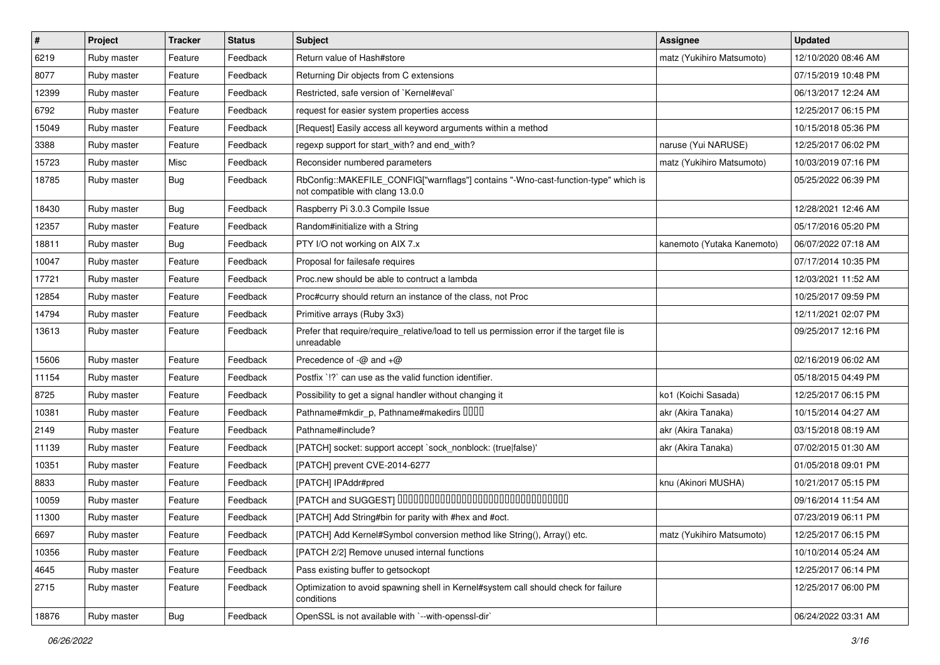| #     | Project     | <b>Tracker</b> | <b>Status</b> | Subject                                                                                                                | <b>Assignee</b>            | <b>Updated</b>      |
|-------|-------------|----------------|---------------|------------------------------------------------------------------------------------------------------------------------|----------------------------|---------------------|
| 6219  | Ruby master | Feature        | Feedback      | Return value of Hash#store                                                                                             | matz (Yukihiro Matsumoto)  | 12/10/2020 08:46 AM |
| 8077  | Ruby master | Feature        | Feedback      | Returning Dir objects from C extensions                                                                                |                            | 07/15/2019 10:48 PM |
| 12399 | Ruby master | Feature        | Feedback      | Restricted, safe version of `Kernel#eval`                                                                              |                            | 06/13/2017 12:24 AM |
| 6792  | Ruby master | Feature        | Feedback      | request for easier system properties access                                                                            |                            | 12/25/2017 06:15 PM |
| 15049 | Ruby master | Feature        | Feedback      | [Request] Easily access all keyword arguments within a method                                                          |                            | 10/15/2018 05:36 PM |
| 3388  | Ruby master | Feature        | Feedback      | regexp support for start_with? and end_with?                                                                           | naruse (Yui NARUSE)        | 12/25/2017 06:02 PM |
| 15723 | Ruby master | Misc           | Feedback      | Reconsider numbered parameters                                                                                         | matz (Yukihiro Matsumoto)  | 10/03/2019 07:16 PM |
| 18785 | Ruby master | Bug            | Feedback      | RbConfig::MAKEFILE_CONFIG["warnflags"] contains "-Wno-cast-function-type" which is<br>not compatible with clang 13.0.0 |                            | 05/25/2022 06:39 PM |
| 18430 | Ruby master | Bug            | Feedback      | Raspberry Pi 3.0.3 Compile Issue                                                                                       |                            | 12/28/2021 12:46 AM |
| 12357 | Ruby master | Feature        | Feedback      | Random#initialize with a String                                                                                        |                            | 05/17/2016 05:20 PM |
| 18811 | Ruby master | Bug            | Feedback      | PTY I/O not working on AIX 7.x                                                                                         | kanemoto (Yutaka Kanemoto) | 06/07/2022 07:18 AM |
| 10047 | Ruby master | Feature        | Feedback      | Proposal for failesafe requires                                                                                        |                            | 07/17/2014 10:35 PM |
| 17721 | Ruby master | Feature        | Feedback      | Proc.new should be able to contruct a lambda                                                                           |                            | 12/03/2021 11:52 AM |
| 12854 | Ruby master | Feature        | Feedback      | Proc#curry should return an instance of the class, not Proc                                                            |                            | 10/25/2017 09:59 PM |
| 14794 | Ruby master | Feature        | Feedback      | Primitive arrays (Ruby 3x3)                                                                                            |                            | 12/11/2021 02:07 PM |
| 13613 | Ruby master | Feature        | Feedback      | Prefer that require/require_relative/load to tell us permission error if the target file is<br>unreadable              |                            | 09/25/2017 12:16 PM |
| 15606 | Ruby master | Feature        | Feedback      | Precedence of -@ and +@                                                                                                |                            | 02/16/2019 06:02 AM |
| 11154 | Ruby master | Feature        | Feedback      | Postfix '!?' can use as the valid function identifier.                                                                 |                            | 05/18/2015 04:49 PM |
| 8725  | Ruby master | Feature        | Feedback      | Possibility to get a signal handler without changing it                                                                | ko1 (Koichi Sasada)        | 12/25/2017 06:15 PM |
| 10381 | Ruby master | Feature        | Feedback      | Pathname#mkdir_p, Pathname#makedirs UUUU                                                                               | akr (Akira Tanaka)         | 10/15/2014 04:27 AM |
| 2149  | Ruby master | Feature        | Feedback      | Pathname#include?                                                                                                      | akr (Akira Tanaka)         | 03/15/2018 08:19 AM |
| 11139 | Ruby master | Feature        | Feedback      | [PATCH] socket: support accept `sock_nonblock: (true false)'                                                           | akr (Akira Tanaka)         | 07/02/2015 01:30 AM |
| 10351 | Ruby master | Feature        | Feedback      | [PATCH] prevent CVE-2014-6277                                                                                          |                            | 01/05/2018 09:01 PM |
| 8833  | Ruby master | Feature        | Feedback      | [PATCH] IPAddr#pred                                                                                                    | knu (Akinori MUSHA)        | 10/21/2017 05:15 PM |
| 10059 | Ruby master | Feature        | Feedback      | [PATCH and SUGGEST] 0000000000000000000000000000000                                                                    |                            | 09/16/2014 11:54 AM |
| 11300 | Ruby master | Feature        | Feedback      | [PATCH] Add String#bin for parity with #hex and #oct.                                                                  |                            | 07/23/2019 06:11 PM |
| 6697  | Ruby master | Feature        | Feedback      | [PATCH] Add Kernel#Symbol conversion method like String(), Array() etc.                                                | matz (Yukihiro Matsumoto)  | 12/25/2017 06:15 PM |
| 10356 | Ruby master | Feature        | Feedback      | [PATCH 2/2] Remove unused internal functions                                                                           |                            | 10/10/2014 05:24 AM |
| 4645  | Ruby master | Feature        | Feedback      | Pass existing buffer to getsockopt                                                                                     |                            | 12/25/2017 06:14 PM |
| 2715  | Ruby master | Feature        | Feedback      | Optimization to avoid spawning shell in Kernel#system call should check for failure<br>conditions                      |                            | 12/25/2017 06:00 PM |
| 18876 | Ruby master | Bug            | Feedback      | OpenSSL is not available with `--with-openssl-dir`                                                                     |                            | 06/24/2022 03:31 AM |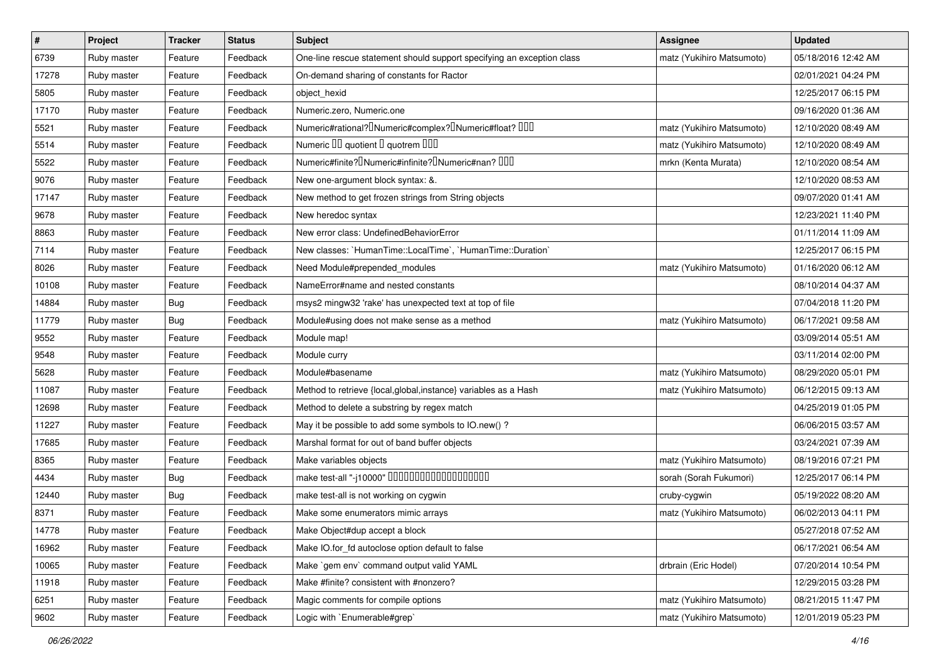| $\vert$ # | Project     | <b>Tracker</b> | <b>Status</b> | <b>Subject</b>                                                                                | Assignee                  | <b>Updated</b>      |
|-----------|-------------|----------------|---------------|-----------------------------------------------------------------------------------------------|---------------------------|---------------------|
| 6739      | Ruby master | Feature        | Feedback      | One-line rescue statement should support specifying an exception class                        | matz (Yukihiro Matsumoto) | 05/18/2016 12:42 AM |
| 17278     | Ruby master | Feature        | Feedback      | On-demand sharing of constants for Ractor                                                     |                           | 02/01/2021 04:24 PM |
| 5805      | Ruby master | Feature        | Feedback      | object hexid                                                                                  |                           | 12/25/2017 06:15 PM |
| 17170     | Ruby master | Feature        | Feedback      | Numeric.zero, Numeric.one                                                                     |                           | 09/16/2020 01:36 AM |
| 5521      | Ruby master | Feature        | Feedback      | Numeric#rational? <sup>[]</sup> Numeric#complex? <sup>[]</sup> Numeric#float? <sup>[10]</sup> | matz (Yukihiro Matsumoto) | 12/10/2020 08:49 AM |
| 5514      | Ruby master | Feature        | Feedback      | Numeric III quotient II quotrem IIII                                                          | matz (Yukihiro Matsumoto) | 12/10/2020 08:49 AM |
| 5522      | Ruby master | Feature        | Feedback      | Numeric#finite? INumeric#infinite? INumeric#nan? IIII                                         | mrkn (Kenta Murata)       | 12/10/2020 08:54 AM |
| 9076      | Ruby master | Feature        | Feedback      | New one-argument block syntax: &.                                                             |                           | 12/10/2020 08:53 AM |
| 17147     | Ruby master | Feature        | Feedback      | New method to get frozen strings from String objects                                          |                           | 09/07/2020 01:41 AM |
| 9678      | Ruby master | Feature        | Feedback      | New heredoc syntax                                                                            |                           | 12/23/2021 11:40 PM |
| 8863      | Ruby master | Feature        | Feedback      | New error class: UndefinedBehaviorError                                                       |                           | 01/11/2014 11:09 AM |
| 7114      | Ruby master | Feature        | Feedback      | New classes: `HumanTime::LocalTime`, `HumanTime::Duration`                                    |                           | 12/25/2017 06:15 PM |
| 8026      | Ruby master | Feature        | Feedback      | Need Module#prepended_modules                                                                 | matz (Yukihiro Matsumoto) | 01/16/2020 06:12 AM |
| 10108     | Ruby master | Feature        | Feedback      | NameError#name and nested constants                                                           |                           | 08/10/2014 04:37 AM |
| 14884     | Ruby master | Bug            | Feedback      | msys2 mingw32 'rake' has unexpected text at top of file                                       |                           | 07/04/2018 11:20 PM |
| 11779     | Ruby master | Bug            | Feedback      | Module#using does not make sense as a method                                                  | matz (Yukihiro Matsumoto) | 06/17/2021 09:58 AM |
| 9552      | Ruby master | Feature        | Feedback      | Module map!                                                                                   |                           | 03/09/2014 05:51 AM |
| 9548      | Ruby master | Feature        | Feedback      | Module curry                                                                                  |                           | 03/11/2014 02:00 PM |
| 5628      | Ruby master | Feature        | Feedback      | Module#basename                                                                               | matz (Yukihiro Matsumoto) | 08/29/2020 05:01 PM |
| 11087     | Ruby master | Feature        | Feedback      | Method to retrieve {local, global, instance} variables as a Hash                              | matz (Yukihiro Matsumoto) | 06/12/2015 09:13 AM |
| 12698     | Ruby master | Feature        | Feedback      | Method to delete a substring by regex match                                                   |                           | 04/25/2019 01:05 PM |
| 11227     | Ruby master | Feature        | Feedback      | May it be possible to add some symbols to IO.new()?                                           |                           | 06/06/2015 03:57 AM |
| 17685     | Ruby master | Feature        | Feedback      | Marshal format for out of band buffer objects                                                 |                           | 03/24/2021 07:39 AM |
| 8365      | Ruby master | Feature        | Feedback      | Make variables objects                                                                        | matz (Yukihiro Matsumoto) | 08/19/2016 07:21 PM |
| 4434      | Ruby master | Bug            | Feedback      | make test-all "-j10000" 0000000000000000000                                                   | sorah (Sorah Fukumori)    | 12/25/2017 06:14 PM |
| 12440     | Ruby master | Bug            | Feedback      | make test-all is not working on cygwin                                                        | cruby-cygwin              | 05/19/2022 08:20 AM |
| 8371      | Ruby master | Feature        | Feedback      | Make some enumerators mimic arrays                                                            | matz (Yukihiro Matsumoto) | 06/02/2013 04:11 PM |
| 14778     | Ruby master | Feature        | Feedback      | Make Object#dup accept a block                                                                |                           | 05/27/2018 07:52 AM |
| 16962     | Ruby master | Feature        | Feedback      | Make IO.for fd autoclose option default to false                                              |                           | 06/17/2021 06:54 AM |
| 10065     | Ruby master | Feature        | Feedback      | Make `gem env` command output valid YAML                                                      | drbrain (Eric Hodel)      | 07/20/2014 10:54 PM |
| 11918     | Ruby master | Feature        | Feedback      | Make #finite? consistent with #nonzero?                                                       |                           | 12/29/2015 03:28 PM |
| 6251      | Ruby master | Feature        | Feedback      | Magic comments for compile options                                                            | matz (Yukihiro Matsumoto) | 08/21/2015 11:47 PM |
| 9602      | Ruby master | Feature        | Feedback      | Logic with `Enumerable#grep`                                                                  | matz (Yukihiro Matsumoto) | 12/01/2019 05:23 PM |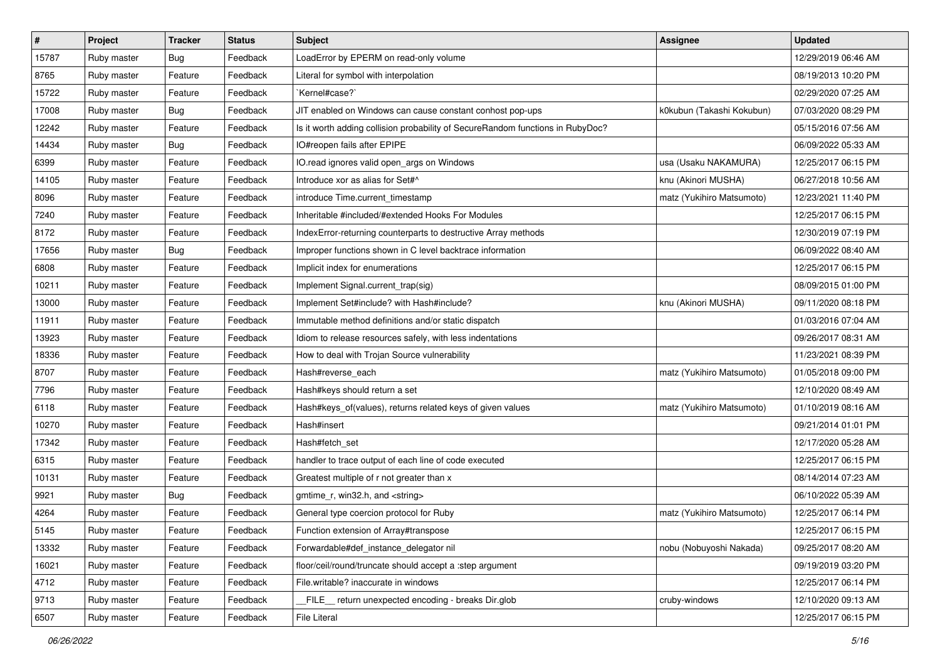| $\sharp$ | <b>Project</b> | <b>Tracker</b> | <b>Status</b> | Subject                                                                        | Assignee                  | <b>Updated</b>      |
|----------|----------------|----------------|---------------|--------------------------------------------------------------------------------|---------------------------|---------------------|
| 15787    | Ruby master    | Bug            | Feedback      | LoadError by EPERM on read-only volume                                         |                           | 12/29/2019 06:46 AM |
| 8765     | Ruby master    | Feature        | Feedback      | Literal for symbol with interpolation                                          |                           | 08/19/2013 10:20 PM |
| 15722    | Ruby master    | Feature        | Feedback      | `Kernel#case?`                                                                 |                           | 02/29/2020 07:25 AM |
| 17008    | Ruby master    | Bug            | Feedback      | JIT enabled on Windows can cause constant conhost pop-ups                      | k0kubun (Takashi Kokubun) | 07/03/2020 08:29 PM |
| 12242    | Ruby master    | Feature        | Feedback      | Is it worth adding collision probability of SecureRandom functions in RubyDoc? |                           | 05/15/2016 07:56 AM |
| 14434    | Ruby master    | Bug            | Feedback      | IO#reopen fails after EPIPE                                                    |                           | 06/09/2022 05:33 AM |
| 6399     | Ruby master    | Feature        | Feedback      | IO.read ignores valid open_args on Windows                                     | usa (Usaku NAKAMURA)      | 12/25/2017 06:15 PM |
| 14105    | Ruby master    | Feature        | Feedback      | Introduce xor as alias for Set#^                                               | knu (Akinori MUSHA)       | 06/27/2018 10:56 AM |
| 8096     | Ruby master    | Feature        | Feedback      | introduce Time.current timestamp                                               | matz (Yukihiro Matsumoto) | 12/23/2021 11:40 PM |
| 7240     | Ruby master    | Feature        | Feedback      | Inheritable #included/#extended Hooks For Modules                              |                           | 12/25/2017 06:15 PM |
| 8172     | Ruby master    | Feature        | Feedback      | IndexError-returning counterparts to destructive Array methods                 |                           | 12/30/2019 07:19 PM |
| 17656    | Ruby master    | Bug            | Feedback      | Improper functions shown in C level backtrace information                      |                           | 06/09/2022 08:40 AM |
| 6808     | Ruby master    | Feature        | Feedback      | Implicit index for enumerations                                                |                           | 12/25/2017 06:15 PM |
| 10211    | Ruby master    | Feature        | Feedback      | Implement Signal.current_trap(sig)                                             |                           | 08/09/2015 01:00 PM |
| 13000    | Ruby master    | Feature        | Feedback      | Implement Set#include? with Hash#include?                                      | knu (Akinori MUSHA)       | 09/11/2020 08:18 PM |
| 11911    | Ruby master    | Feature        | Feedback      | Immutable method definitions and/or static dispatch                            |                           | 01/03/2016 07:04 AM |
| 13923    | Ruby master    | Feature        | Feedback      | Idiom to release resources safely, with less indentations                      |                           | 09/26/2017 08:31 AM |
| 18336    | Ruby master    | Feature        | Feedback      | How to deal with Trojan Source vulnerability                                   |                           | 11/23/2021 08:39 PM |
| 8707     | Ruby master    | Feature        | Feedback      | Hash#reverse_each                                                              | matz (Yukihiro Matsumoto) | 01/05/2018 09:00 PM |
| 7796     | Ruby master    | Feature        | Feedback      | Hash#keys should return a set                                                  |                           | 12/10/2020 08:49 AM |
| 6118     | Ruby master    | Feature        | Feedback      | Hash#keys_of(values), returns related keys of given values                     | matz (Yukihiro Matsumoto) | 01/10/2019 08:16 AM |
| 10270    | Ruby master    | Feature        | Feedback      | Hash#insert                                                                    |                           | 09/21/2014 01:01 PM |
| 17342    | Ruby master    | Feature        | Feedback      | Hash#fetch_set                                                                 |                           | 12/17/2020 05:28 AM |
| 6315     | Ruby master    | Feature        | Feedback      | handler to trace output of each line of code executed                          |                           | 12/25/2017 06:15 PM |
| 10131    | Ruby master    | Feature        | Feedback      | Greatest multiple of r not greater than x                                      |                           | 08/14/2014 07:23 AM |
| 9921     | Ruby master    | Bug            | Feedback      | gmtime_r, win32.h, and <string></string>                                       |                           | 06/10/2022 05:39 AM |
| 4264     | Ruby master    | Feature        | Feedback      | General type coercion protocol for Ruby                                        | matz (Yukihiro Matsumoto) | 12/25/2017 06:14 PM |
| 5145     | Ruby master    | Feature        | Feedback      | Function extension of Array#transpose                                          |                           | 12/25/2017 06:15 PM |
| 13332    | Ruby master    | Feature        | Feedback      | Forwardable#def instance delegator nil                                         | nobu (Nobuyoshi Nakada)   | 09/25/2017 08:20 AM |
| 16021    | Ruby master    | Feature        | Feedback      | floor/ceil/round/truncate should accept a :step argument                       |                           | 09/19/2019 03:20 PM |
| 4712     | Ruby master    | Feature        | Feedback      | File.writable? inaccurate in windows                                           |                           | 12/25/2017 06:14 PM |
| 9713     | Ruby master    | Feature        | Feedback      | FILE return unexpected encoding - breaks Dir.glob                              | cruby-windows             | 12/10/2020 09:13 AM |
| 6507     | Ruby master    | Feature        | Feedback      | File Literal                                                                   |                           | 12/25/2017 06:15 PM |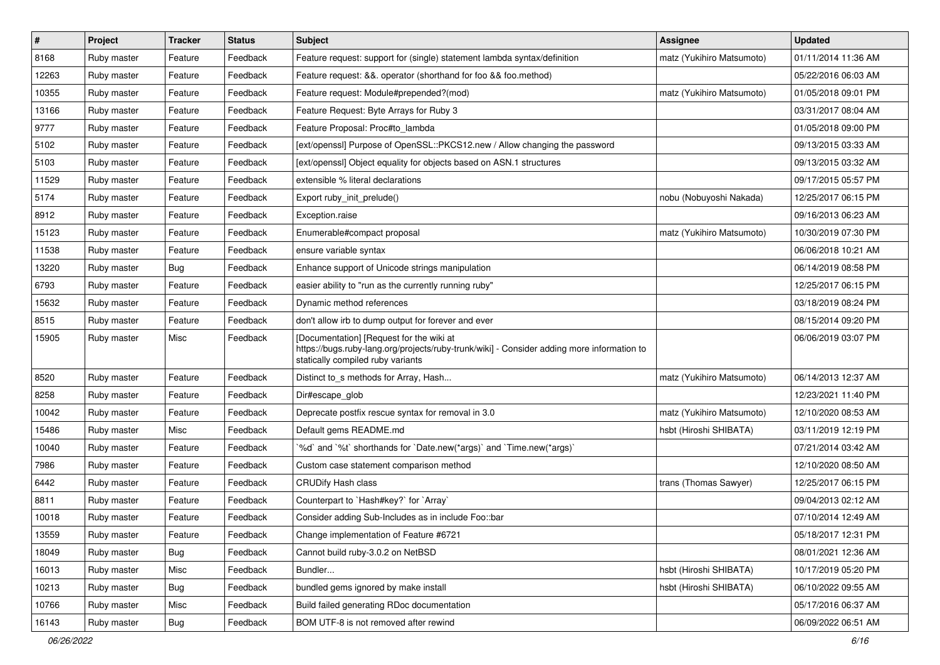| $\sharp$ | Project     | <b>Tracker</b> | <b>Status</b> | <b>Subject</b>                                                                                                                                                              | <b>Assignee</b>           | <b>Updated</b>      |
|----------|-------------|----------------|---------------|-----------------------------------------------------------------------------------------------------------------------------------------------------------------------------|---------------------------|---------------------|
| 8168     | Ruby master | Feature        | Feedback      | Feature request: support for (single) statement lambda syntax/definition                                                                                                    | matz (Yukihiro Matsumoto) | 01/11/2014 11:36 AM |
| 12263    | Ruby master | Feature        | Feedback      | Feature request: &&. operator (shorthand for foo && foo.method)                                                                                                             |                           | 05/22/2016 06:03 AM |
| 10355    | Ruby master | Feature        | Feedback      | Feature request: Module#prepended?(mod)                                                                                                                                     | matz (Yukihiro Matsumoto) | 01/05/2018 09:01 PM |
| 13166    | Ruby master | Feature        | Feedback      | Feature Request: Byte Arrays for Ruby 3                                                                                                                                     |                           | 03/31/2017 08:04 AM |
| 9777     | Ruby master | Feature        | Feedback      | Feature Proposal: Proc#to_lambda                                                                                                                                            |                           | 01/05/2018 09:00 PM |
| 5102     | Ruby master | Feature        | Feedback      | [ext/openssl] Purpose of OpenSSL::PKCS12.new / Allow changing the password                                                                                                  |                           | 09/13/2015 03:33 AM |
| 5103     | Ruby master | Feature        | Feedback      | [ext/openssl] Object equality for objects based on ASN.1 structures                                                                                                         |                           | 09/13/2015 03:32 AM |
| 11529    | Ruby master | Feature        | Feedback      | extensible % literal declarations                                                                                                                                           |                           | 09/17/2015 05:57 PM |
| 5174     | Ruby master | Feature        | Feedback      | Export ruby_init_prelude()                                                                                                                                                  | nobu (Nobuyoshi Nakada)   | 12/25/2017 06:15 PM |
| 8912     | Ruby master | Feature        | Feedback      | Exception.raise                                                                                                                                                             |                           | 09/16/2013 06:23 AM |
| 15123    | Ruby master | Feature        | Feedback      | Enumerable#compact proposal                                                                                                                                                 | matz (Yukihiro Matsumoto) | 10/30/2019 07:30 PM |
| 11538    | Ruby master | Feature        | Feedback      | ensure variable syntax                                                                                                                                                      |                           | 06/06/2018 10:21 AM |
| 13220    | Ruby master | Bug            | Feedback      | Enhance support of Unicode strings manipulation                                                                                                                             |                           | 06/14/2019 08:58 PM |
| 6793     | Ruby master | Feature        | Feedback      | easier ability to "run as the currently running ruby"                                                                                                                       |                           | 12/25/2017 06:15 PM |
| 15632    | Ruby master | Feature        | Feedback      | Dynamic method references                                                                                                                                                   |                           | 03/18/2019 08:24 PM |
| 8515     | Ruby master | Feature        | Feedback      | don't allow irb to dump output for forever and ever                                                                                                                         |                           | 08/15/2014 09:20 PM |
| 15905    | Ruby master | Misc           | Feedback      | [Documentation] [Request for the wiki at<br>https://bugs.ruby-lang.org/projects/ruby-trunk/wiki] - Consider adding more information to<br>statically compiled ruby variants |                           | 06/06/2019 03:07 PM |
| 8520     | Ruby master | Feature        | Feedback      | Distinct to_s methods for Array, Hash                                                                                                                                       | matz (Yukihiro Matsumoto) | 06/14/2013 12:37 AM |
| 8258     | Ruby master | Feature        | Feedback      | Dir#escape_glob                                                                                                                                                             |                           | 12/23/2021 11:40 PM |
| 10042    | Ruby master | Feature        | Feedback      | Deprecate postfix rescue syntax for removal in 3.0                                                                                                                          | matz (Yukihiro Matsumoto) | 12/10/2020 08:53 AM |
| 15486    | Ruby master | Misc           | Feedback      | Default gems README.md                                                                                                                                                      | hsbt (Hiroshi SHIBATA)    | 03/11/2019 12:19 PM |
| 10040    | Ruby master | Feature        | Feedback      | '%d' and '%t' shorthands for 'Date.new(*args)' and 'Time.new(*args)'                                                                                                        |                           | 07/21/2014 03:42 AM |
| 7986     | Ruby master | Feature        | Feedback      | Custom case statement comparison method                                                                                                                                     |                           | 12/10/2020 08:50 AM |
| 6442     | Ruby master | Feature        | Feedback      | <b>CRUDify Hash class</b>                                                                                                                                                   | trans (Thomas Sawyer)     | 12/25/2017 06:15 PM |
| 8811     | Ruby master | Feature        | Feedback      | Counterpart to `Hash#key?` for `Array`                                                                                                                                      |                           | 09/04/2013 02:12 AM |
| 10018    | Ruby master | Feature        | Feedback      | Consider adding Sub-Includes as in include Foo::bar                                                                                                                         |                           | 07/10/2014 12:49 AM |
| 13559    | Ruby master | Feature        | Feedback      | Change implementation of Feature #6721                                                                                                                                      |                           | 05/18/2017 12:31 PM |
| 18049    | Ruby master | <b>Bug</b>     | Feedback      | Cannot build ruby-3.0.2 on NetBSD                                                                                                                                           |                           | 08/01/2021 12:36 AM |
| 16013    | Ruby master | Misc           | Feedback      | Bundler                                                                                                                                                                     | hsbt (Hiroshi SHIBATA)    | 10/17/2019 05:20 PM |
| 10213    | Ruby master | <b>Bug</b>     | Feedback      | bundled gems ignored by make install                                                                                                                                        | hsbt (Hiroshi SHIBATA)    | 06/10/2022 09:55 AM |
| 10766    | Ruby master | Misc           | Feedback      | Build failed generating RDoc documentation                                                                                                                                  |                           | 05/17/2016 06:37 AM |
| 16143    | Ruby master | Bug            | Feedback      | BOM UTF-8 is not removed after rewind                                                                                                                                       |                           | 06/09/2022 06:51 AM |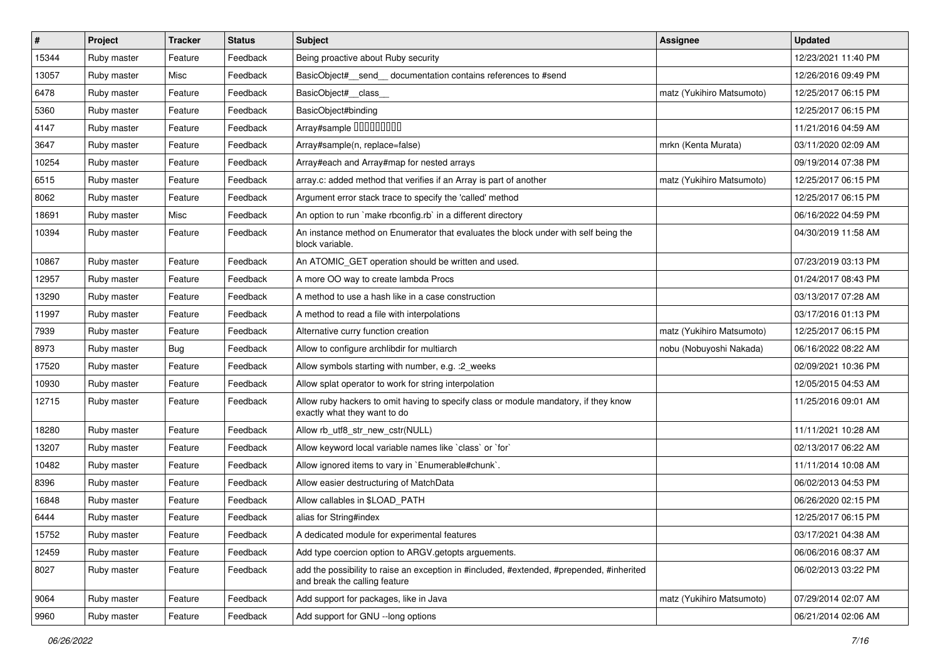| $\vert$ # | Project     | <b>Tracker</b> | <b>Status</b> | Subject                                                                                                                    | <b>Assignee</b>           | <b>Updated</b>      |
|-----------|-------------|----------------|---------------|----------------------------------------------------------------------------------------------------------------------------|---------------------------|---------------------|
| 15344     | Ruby master | Feature        | Feedback      | Being proactive about Ruby security                                                                                        |                           | 12/23/2021 11:40 PM |
| 13057     | Ruby master | Misc           | Feedback      | BasicObject#_send_documentation contains references to #send                                                               |                           | 12/26/2016 09:49 PM |
| 6478      | Ruby master | Feature        | Feedback      | BasicObject# class                                                                                                         | matz (Yukihiro Matsumoto) | 12/25/2017 06:15 PM |
| 5360      | Ruby master | Feature        | Feedback      | BasicObject#binding                                                                                                        |                           | 12/25/2017 06:15 PM |
| 4147      | Ruby master | Feature        | Feedback      | Array#sample 000000000                                                                                                     |                           | 11/21/2016 04:59 AM |
| 3647      | Ruby master | Feature        | Feedback      | Array#sample(n, replace=false)                                                                                             | mrkn (Kenta Murata)       | 03/11/2020 02:09 AM |
| 10254     | Ruby master | Feature        | Feedback      | Array#each and Array#map for nested arrays                                                                                 |                           | 09/19/2014 07:38 PM |
| 6515      | Ruby master | Feature        | Feedback      | array.c: added method that verifies if an Array is part of another                                                         | matz (Yukihiro Matsumoto) | 12/25/2017 06:15 PM |
| 8062      | Ruby master | Feature        | Feedback      | Argument error stack trace to specify the 'called' method                                                                  |                           | 12/25/2017 06:15 PM |
| 18691     | Ruby master | Misc           | Feedback      | An option to run `make rbconfig.rb` in a different directory                                                               |                           | 06/16/2022 04:59 PM |
| 10394     | Ruby master | Feature        | Feedback      | An instance method on Enumerator that evaluates the block under with self being the<br>block variable.                     |                           | 04/30/2019 11:58 AM |
| 10867     | Ruby master | Feature        | Feedback      | An ATOMIC_GET operation should be written and used.                                                                        |                           | 07/23/2019 03:13 PM |
| 12957     | Ruby master | Feature        | Feedback      | A more OO way to create lambda Procs                                                                                       |                           | 01/24/2017 08:43 PM |
| 13290     | Ruby master | Feature        | Feedback      | A method to use a hash like in a case construction                                                                         |                           | 03/13/2017 07:28 AM |
| 11997     | Ruby master | Feature        | Feedback      | A method to read a file with interpolations                                                                                |                           | 03/17/2016 01:13 PM |
| 7939      | Ruby master | Feature        | Feedback      | Alternative curry function creation                                                                                        | matz (Yukihiro Matsumoto) | 12/25/2017 06:15 PM |
| 8973      | Ruby master | Bug            | Feedback      | Allow to configure archlibdir for multiarch                                                                                | nobu (Nobuyoshi Nakada)   | 06/16/2022 08:22 AM |
| 17520     | Ruby master | Feature        | Feedback      | Allow symbols starting with number, e.g. : 2 weeks                                                                         |                           | 02/09/2021 10:36 PM |
| 10930     | Ruby master | Feature        | Feedback      | Allow splat operator to work for string interpolation                                                                      |                           | 12/05/2015 04:53 AM |
| 12715     | Ruby master | Feature        | Feedback      | Allow ruby hackers to omit having to specify class or module mandatory, if they know<br>exactly what they want to do       |                           | 11/25/2016 09:01 AM |
| 18280     | Ruby master | Feature        | Feedback      | Allow rb_utf8_str_new_cstr(NULL)                                                                                           |                           | 11/11/2021 10:28 AM |
| 13207     | Ruby master | Feature        | Feedback      | Allow keyword local variable names like `class` or `for`                                                                   |                           | 02/13/2017 06:22 AM |
| 10482     | Ruby master | Feature        | Feedback      | Allow ignored items to vary in `Enumerable#chunk`.                                                                         |                           | 11/11/2014 10:08 AM |
| 8396      | Ruby master | Feature        | Feedback      | Allow easier destructuring of MatchData                                                                                    |                           | 06/02/2013 04:53 PM |
| 16848     | Ruby master | Feature        | Feedback      | Allow callables in \$LOAD_PATH                                                                                             |                           | 06/26/2020 02:15 PM |
| 6444      | Ruby master | Feature        | Feedback      | alias for String#index                                                                                                     |                           | 12/25/2017 06:15 PM |
| 15752     | Ruby master | Feature        | Feedback      | A dedicated module for experimental features                                                                               |                           | 03/17/2021 04:38 AM |
| 12459     | Ruby master | Feature        | Feedback      | Add type coercion option to ARGV getopts arguements.                                                                       |                           | 06/06/2016 08:37 AM |
| 8027      | Ruby master | Feature        | Feedback      | add the possibility to raise an exception in #included, #extended, #prepended, #inherited<br>and break the calling feature |                           | 06/02/2013 03:22 PM |
| 9064      | Ruby master | Feature        | Feedback      | Add support for packages, like in Java                                                                                     | matz (Yukihiro Matsumoto) | 07/29/2014 02:07 AM |
| 9960      | Ruby master | Feature        | Feedback      | Add support for GNU --long options                                                                                         |                           | 06/21/2014 02:06 AM |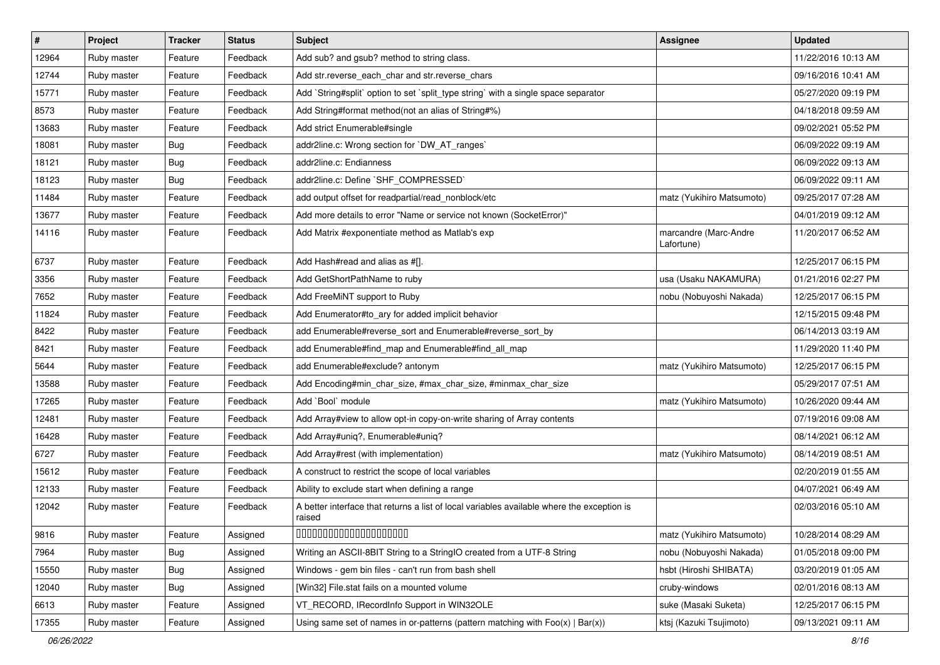| $\vert$ # | Project     | <b>Tracker</b> | <b>Status</b> | <b>Subject</b>                                                                                       | Assignee                            | <b>Updated</b>      |
|-----------|-------------|----------------|---------------|------------------------------------------------------------------------------------------------------|-------------------------------------|---------------------|
| 12964     | Ruby master | Feature        | Feedback      | Add sub? and gsub? method to string class.                                                           |                                     | 11/22/2016 10:13 AM |
| 12744     | Ruby master | Feature        | Feedback      | Add str.reverse_each_char and str.reverse_chars                                                      |                                     | 09/16/2016 10:41 AM |
| 15771     | Ruby master | Feature        | Feedback      | Add `String#split` option to set `split_type string` with a single space separator                   |                                     | 05/27/2020 09:19 PM |
| 8573      | Ruby master | Feature        | Feedback      | Add String#format method(not an alias of String#%)                                                   |                                     | 04/18/2018 09:59 AM |
| 13683     | Ruby master | Feature        | Feedback      | Add strict Enumerable#single                                                                         |                                     | 09/02/2021 05:52 PM |
| 18081     | Ruby master | <b>Bug</b>     | Feedback      | addr2line.c: Wrong section for `DW_AT_ranges`                                                        |                                     | 06/09/2022 09:19 AM |
| 18121     | Ruby master | <b>Bug</b>     | Feedback      | addr2line.c: Endianness                                                                              |                                     | 06/09/2022 09:13 AM |
| 18123     | Ruby master | Bug            | Feedback      | addr2line.c: Define `SHF_COMPRESSED`                                                                 |                                     | 06/09/2022 09:11 AM |
| 11484     | Ruby master | Feature        | Feedback      | add output offset for readpartial/read_nonblock/etc                                                  | matz (Yukihiro Matsumoto)           | 09/25/2017 07:28 AM |
| 13677     | Ruby master | Feature        | Feedback      | Add more details to error "Name or service not known (SocketError)"                                  |                                     | 04/01/2019 09:12 AM |
| 14116     | Ruby master | Feature        | Feedback      | Add Matrix #exponentiate method as Matlab's exp                                                      | marcandre (Marc-Andre<br>Lafortune) | 11/20/2017 06:52 AM |
| 6737      | Ruby master | Feature        | Feedback      | Add Hash#read and alias as #[].                                                                      |                                     | 12/25/2017 06:15 PM |
| 3356      | Ruby master | Feature        | Feedback      | Add GetShortPathName to ruby                                                                         | usa (Usaku NAKAMURA)                | 01/21/2016 02:27 PM |
| 7652      | Ruby master | Feature        | Feedback      | Add FreeMiNT support to Ruby                                                                         | nobu (Nobuyoshi Nakada)             | 12/25/2017 06:15 PM |
| 11824     | Ruby master | Feature        | Feedback      | Add Enumerator#to_ary for added implicit behavior                                                    |                                     | 12/15/2015 09:48 PM |
| 8422      | Ruby master | Feature        | Feedback      | add Enumerable#reverse_sort and Enumerable#reverse_sort_by                                           |                                     | 06/14/2013 03:19 AM |
| 8421      | Ruby master | Feature        | Feedback      | add Enumerable#find_map and Enumerable#find_all_map                                                  |                                     | 11/29/2020 11:40 PM |
| 5644      | Ruby master | Feature        | Feedback      | add Enumerable#exclude? antonym                                                                      | matz (Yukihiro Matsumoto)           | 12/25/2017 06:15 PM |
| 13588     | Ruby master | Feature        | Feedback      | Add Encoding#min_char_size, #max_char_size, #minmax_char_size                                        |                                     | 05/29/2017 07:51 AM |
| 17265     | Ruby master | Feature        | Feedback      | Add `Bool` module                                                                                    | matz (Yukihiro Matsumoto)           | 10/26/2020 09:44 AM |
| 12481     | Ruby master | Feature        | Feedback      | Add Array#view to allow opt-in copy-on-write sharing of Array contents                               |                                     | 07/19/2016 09:08 AM |
| 16428     | Ruby master | Feature        | Feedback      | Add Array#uniq?, Enumerable#uniq?                                                                    |                                     | 08/14/2021 06:12 AM |
| 6727      | Ruby master | Feature        | Feedback      | Add Array#rest (with implementation)                                                                 | matz (Yukihiro Matsumoto)           | 08/14/2019 08:51 AM |
| 15612     | Ruby master | Feature        | Feedback      | A construct to restrict the scope of local variables                                                 |                                     | 02/20/2019 01:55 AM |
| 12133     | Ruby master | Feature        | Feedback      | Ability to exclude start when defining a range                                                       |                                     | 04/07/2021 06:49 AM |
| 12042     | Ruby master | Feature        | Feedback      | A better interface that returns a list of local variables available where the exception is<br>raised |                                     | 02/03/2016 05:10 AM |
| 9816      | Ruby master | Feature        | Assigned      | 00000000000000000000                                                                                 | matz (Yukihiro Matsumoto)           | 10/28/2014 08:29 AM |
| 7964      | Ruby master | <b>Bug</b>     | Assigned      | Writing an ASCII-8BIT String to a StringIO created from a UTF-8 String                               | nobu (Nobuyoshi Nakada)             | 01/05/2018 09:00 PM |
| 15550     | Ruby master | <b>Bug</b>     | Assigned      | Windows - gem bin files - can't run from bash shell                                                  | hsbt (Hiroshi SHIBATA)              | 03/20/2019 01:05 AM |
| 12040     | Ruby master | <b>Bug</b>     | Assigned      | [Win32] File.stat fails on a mounted volume                                                          | cruby-windows                       | 02/01/2016 08:13 AM |
| 6613      | Ruby master | Feature        | Assigned      | VT_RECORD, IRecordInfo Support in WIN32OLE                                                           | suke (Masaki Suketa)                | 12/25/2017 06:15 PM |
| 17355     | Ruby master | Feature        | Assigned      | Using same set of names in or-patterns (pattern matching with $Foo(x)   Bar(x)$ )                    | ktsj (Kazuki Tsujimoto)             | 09/13/2021 09:11 AM |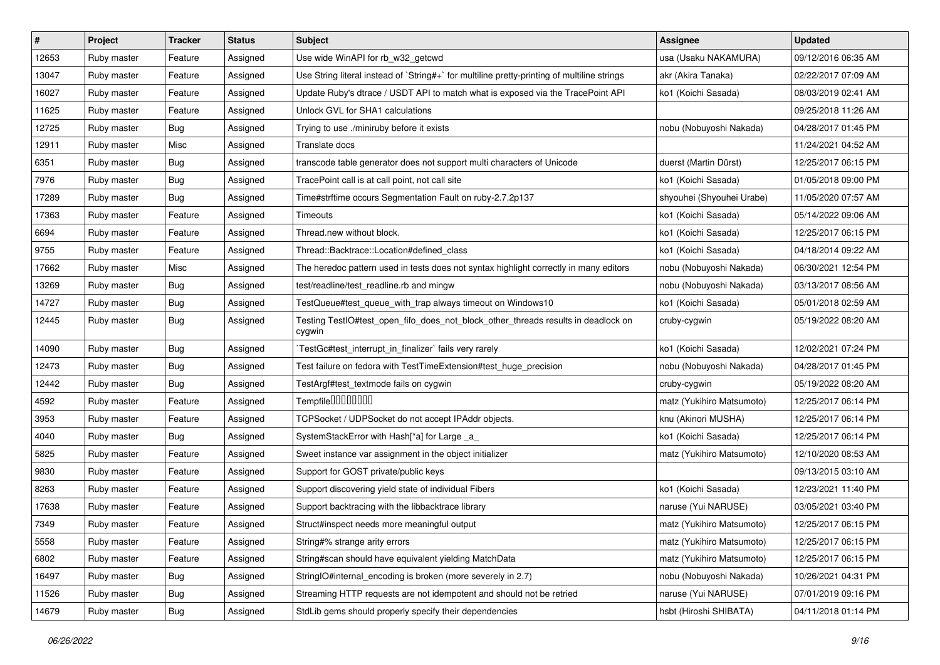| $\vert$ # | Project     | <b>Tracker</b> | <b>Status</b> | Subject                                                                                     | Assignee                  | <b>Updated</b>      |
|-----------|-------------|----------------|---------------|---------------------------------------------------------------------------------------------|---------------------------|---------------------|
| 12653     | Ruby master | Feature        | Assigned      | Use wide WinAPI for rb_w32_getcwd                                                           | usa (Usaku NAKAMURA)      | 09/12/2016 06:35 AM |
| 13047     | Ruby master | Feature        | Assigned      | Use String literal instead of `String#+` for multiline pretty-printing of multiline strings | akr (Akira Tanaka)        | 02/22/2017 07:09 AM |
| 16027     | Ruby master | Feature        | Assigned      | Update Ruby's dtrace / USDT API to match what is exposed via the TracePoint API             | ko1 (Koichi Sasada)       | 08/03/2019 02:41 AM |
| 11625     | Ruby master | Feature        | Assigned      | Unlock GVL for SHA1 calculations                                                            |                           | 09/25/2018 11:26 AM |
| 12725     | Ruby master | <b>Bug</b>     | Assigned      | Trying to use ./miniruby before it exists                                                   | nobu (Nobuyoshi Nakada)   | 04/28/2017 01:45 PM |
| 12911     | Ruby master | Misc           | Assigned      | Translate docs                                                                              |                           | 11/24/2021 04:52 AM |
| 6351      | Ruby master | Bug            | Assigned      | transcode table generator does not support multi characters of Unicode                      | duerst (Martin Dürst)     | 12/25/2017 06:15 PM |
| 7976      | Ruby master | <b>Bug</b>     | Assigned      | TracePoint call is at call point, not call site                                             | ko1 (Koichi Sasada)       | 01/05/2018 09:00 PM |
| 17289     | Ruby master | Bug            | Assigned      | Time#strftime occurs Segmentation Fault on ruby-2.7.2p137                                   | shyouhei (Shyouhei Urabe) | 11/05/2020 07:57 AM |
| 17363     | Ruby master | Feature        | Assigned      | Timeouts                                                                                    | ko1 (Koichi Sasada)       | 05/14/2022 09:06 AM |
| 6694      | Ruby master | Feature        | Assigned      | Thread.new without block.                                                                   | ko1 (Koichi Sasada)       | 12/25/2017 06:15 PM |
| 9755      | Ruby master | Feature        | Assigned      | Thread::Backtrace::Location#defined class                                                   | ko1 (Koichi Sasada)       | 04/18/2014 09:22 AM |
| 17662     | Ruby master | Misc           | Assigned      | The heredoc pattern used in tests does not syntax highlight correctly in many editors       | nobu (Nobuyoshi Nakada)   | 06/30/2021 12:54 PM |
| 13269     | Ruby master | <b>Bug</b>     | Assigned      | test/readline/test_readline.rb and mingw                                                    | nobu (Nobuyoshi Nakada)   | 03/13/2017 08:56 AM |
| 14727     | Ruby master | <b>Bug</b>     | Assigned      | TestQueue#test_queue_with_trap always timeout on Windows10                                  | ko1 (Koichi Sasada)       | 05/01/2018 02:59 AM |
| 12445     | Ruby master | <b>Bug</b>     | Assigned      | Testing TestIO#test_open_fifo_does_not_block_other_threads results in deadlock on<br>cygwin | cruby-cygwin              | 05/19/2022 08:20 AM |
| 14090     | Ruby master | Bug            | Assigned      | `TestGc#test_interrupt_in_finalizer` fails very rarely                                      | ko1 (Koichi Sasada)       | 12/02/2021 07:24 PM |
| 12473     | Ruby master | <b>Bug</b>     | Assigned      | Test failure on fedora with TestTimeExtension#test_huge_precision                           | nobu (Nobuyoshi Nakada)   | 04/28/2017 01:45 PM |
| 12442     | Ruby master | Bug            | Assigned      | TestArgf#test_textmode fails on cygwin                                                      | cruby-cygwin              | 05/19/2022 08:20 AM |
| 4592      | Ruby master | Feature        | Assigned      | Tempfile0000000                                                                             | matz (Yukihiro Matsumoto) | 12/25/2017 06:14 PM |
| 3953      | Ruby master | Feature        | Assigned      | TCPSocket / UDPSocket do not accept IPAddr objects.                                         | knu (Akinori MUSHA)       | 12/25/2017 06:14 PM |
| 4040      | Ruby master | <b>Bug</b>     | Assigned      | SystemStackError with Hash[*a] for Large _a_                                                | ko1 (Koichi Sasada)       | 12/25/2017 06:14 PM |
| 5825      | Ruby master | Feature        | Assigned      | Sweet instance var assignment in the object initializer                                     | matz (Yukihiro Matsumoto) | 12/10/2020 08:53 AM |
| 9830      | Ruby master | Feature        | Assigned      | Support for GOST private/public keys                                                        |                           | 09/13/2015 03:10 AM |
| 8263      | Ruby master | Feature        | Assigned      | Support discovering yield state of individual Fibers                                        | ko1 (Koichi Sasada)       | 12/23/2021 11:40 PM |
| 17638     | Ruby master | Feature        | Assigned      | Support backtracing with the libbacktrace library                                           | naruse (Yui NARUSE)       | 03/05/2021 03:40 PM |
| 7349      | Ruby master | Feature        | Assigned      | Struct#inspect needs more meaningful output                                                 | matz (Yukihiro Matsumoto) | 12/25/2017 06:15 PM |
| 5558      | Ruby master | Feature        | Assigned      | String#% strange arity errors                                                               | matz (Yukihiro Matsumoto) | 12/25/2017 06:15 PM |
| 6802      | Ruby master | Feature        | Assigned      | String#scan should have equivalent yielding MatchData                                       | matz (Yukihiro Matsumoto) | 12/25/2017 06:15 PM |
| 16497     | Ruby master | <b>Bug</b>     | Assigned      | StringIO#internal encoding is broken (more severely in 2.7)                                 | nobu (Nobuyoshi Nakada)   | 10/26/2021 04:31 PM |
| 11526     | Ruby master | Bug            | Assigned      | Streaming HTTP requests are not idempotent and should not be retried                        | naruse (Yui NARUSE)       | 07/01/2019 09:16 PM |
| 14679     | Ruby master | <b>Bug</b>     | Assigned      | StdLib gems should properly specify their dependencies                                      | hsbt (Hiroshi SHIBATA)    | 04/11/2018 01:14 PM |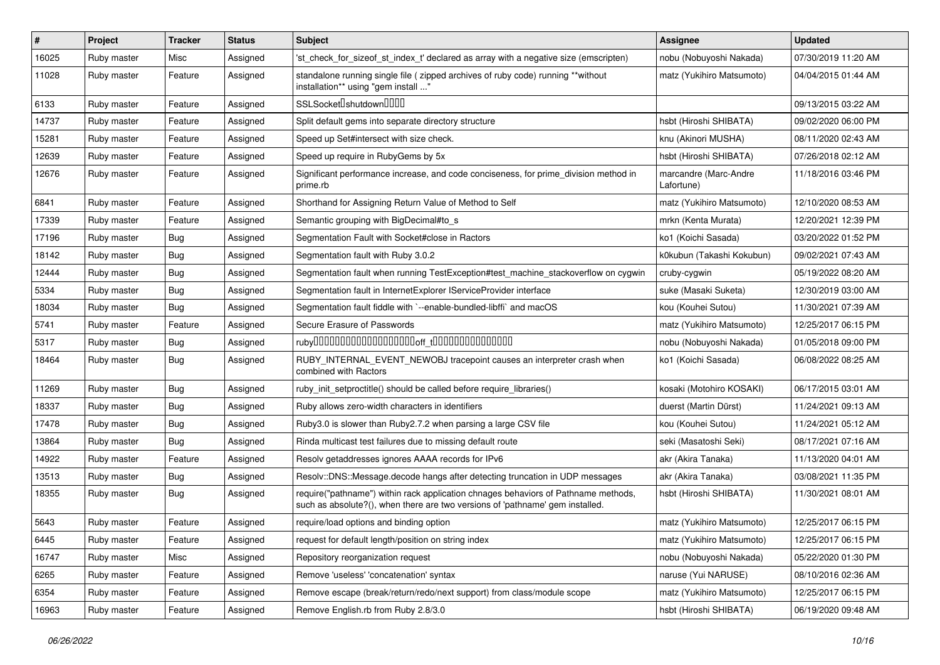| $\pmb{\#}$ | Project     | <b>Tracker</b> | <b>Status</b> | Subject                                                                                                                                                             | <b>Assignee</b>                     | <b>Updated</b>      |
|------------|-------------|----------------|---------------|---------------------------------------------------------------------------------------------------------------------------------------------------------------------|-------------------------------------|---------------------|
| 16025      | Ruby master | Misc           | Assigned      | 'st check for sizeof st index t' declared as array with a negative size (emscripten)                                                                                | nobu (Nobuyoshi Nakada)             | 07/30/2019 11:20 AM |
| 11028      | Ruby master | Feature        | Assigned      | standalone running single file ( zipped archives of ruby code) running **without<br>installation** using "gem install "                                             | matz (Yukihiro Matsumoto)           | 04/04/2015 01:44 AM |
| 6133       | Ruby master | Feature        | Assigned      | SSLSocketlshutdownllllll                                                                                                                                            |                                     | 09/13/2015 03:22 AM |
| 14737      | Ruby master | Feature        | Assigned      | Split default gems into separate directory structure                                                                                                                | hsbt (Hiroshi SHIBATA)              | 09/02/2020 06:00 PM |
| 15281      | Ruby master | Feature        | Assigned      | Speed up Set#intersect with size check.                                                                                                                             | knu (Akinori MUSHA)                 | 08/11/2020 02:43 AM |
| 12639      | Ruby master | Feature        | Assigned      | Speed up require in RubyGems by 5x                                                                                                                                  | hsbt (Hiroshi SHIBATA)              | 07/26/2018 02:12 AM |
| 12676      | Ruby master | Feature        | Assigned      | Significant performance increase, and code conciseness, for prime_division method in<br>prime.rb                                                                    | marcandre (Marc-Andre<br>Lafortune) | 11/18/2016 03:46 PM |
| 6841       | Ruby master | Feature        | Assigned      | Shorthand for Assigning Return Value of Method to Self                                                                                                              | matz (Yukihiro Matsumoto)           | 12/10/2020 08:53 AM |
| 17339      | Ruby master | Feature        | Assigned      | Semantic grouping with BigDecimal#to s                                                                                                                              | mrkn (Kenta Murata)                 | 12/20/2021 12:39 PM |
| 17196      | Ruby master | Bug            | Assigned      | Segmentation Fault with Socket#close in Ractors                                                                                                                     | ko1 (Koichi Sasada)                 | 03/20/2022 01:52 PM |
| 18142      | Ruby master | Bug            | Assigned      | Segmentation fault with Ruby 3.0.2                                                                                                                                  | k0kubun (Takashi Kokubun)           | 09/02/2021 07:43 AM |
| 12444      | Ruby master | Bug            | Assigned      | Segmentation fault when running TestException#test_machine_stackoverflow on cygwin                                                                                  | cruby-cygwin                        | 05/19/2022 08:20 AM |
| 5334       | Ruby master | Bug            | Assigned      | Segmentation fault in InternetExplorer IServiceProvider interface                                                                                                   | suke (Masaki Suketa)                | 12/30/2019 03:00 AM |
| 18034      | Ruby master | Bug            | Assigned      | Segmentation fault fiddle with `--enable-bundled-libffi` and macOS                                                                                                  | kou (Kouhei Sutou)                  | 11/30/2021 07:39 AM |
| 5741       | Ruby master | Feature        | Assigned      | Secure Erasure of Passwords                                                                                                                                         | matz (Yukihiro Matsumoto)           | 12/25/2017 06:15 PM |
| 5317       | Ruby master | Bug            | Assigned      |                                                                                                                                                                     | nobu (Nobuyoshi Nakada)             | 01/05/2018 09:00 PM |
| 18464      | Ruby master | Bug            | Assigned      | RUBY_INTERNAL_EVENT_NEWOBJ tracepoint causes an interpreter crash when<br>combined with Ractors                                                                     | ko1 (Koichi Sasada)                 | 06/08/2022 08:25 AM |
| 11269      | Ruby master | Bug            | Assigned      | ruby_init_setproctitle() should be called before require_libraries()                                                                                                | kosaki (Motohiro KOSAKI)            | 06/17/2015 03:01 AM |
| 18337      | Ruby master | Bug            | Assigned      | Ruby allows zero-width characters in identifiers                                                                                                                    | duerst (Martin Dürst)               | 11/24/2021 09:13 AM |
| 17478      | Ruby master | Bug            | Assigned      | Ruby3.0 is slower than Ruby2.7.2 when parsing a large CSV file                                                                                                      | kou (Kouhei Sutou)                  | 11/24/2021 05:12 AM |
| 13864      | Ruby master | Bug            | Assigned      | Rinda multicast test failures due to missing default route                                                                                                          | seki (Masatoshi Seki)               | 08/17/2021 07:16 AM |
| 14922      | Ruby master | Feature        | Assigned      | Resolv getaddresses ignores AAAA records for IPv6                                                                                                                   | akr (Akira Tanaka)                  | 11/13/2020 04:01 AM |
| 13513      | Ruby master | Bug            | Assigned      | Resolv::DNS::Message.decode hangs after detecting truncation in UDP messages                                                                                        | akr (Akira Tanaka)                  | 03/08/2021 11:35 PM |
| 18355      | Ruby master | Bug            | Assigned      | require("pathname") within rack application chnages behaviors of Pathname methods,<br>such as absolute?(), when there are two versions of 'pathname' gem installed. | hsbt (Hiroshi SHIBATA)              | 11/30/2021 08:01 AM |
| 5643       | Ruby master | Feature        | Assigned      | require/load options and binding option                                                                                                                             | matz (Yukihiro Matsumoto)           | 12/25/2017 06:15 PM |
| 6445       | Ruby master | Feature        | Assigned      | request for default length/position on string index                                                                                                                 | matz (Yukihiro Matsumoto)           | 12/25/2017 06:15 PM |
| 16747      | Ruby master | Misc           | Assigned      | Repository reorganization request                                                                                                                                   | nobu (Nobuyoshi Nakada)             | 05/22/2020 01:30 PM |
| 6265       | Ruby master | Feature        | Assigned      | Remove 'useless' 'concatenation' syntax                                                                                                                             | naruse (Yui NARUSE)                 | 08/10/2016 02:36 AM |
| 6354       | Ruby master | Feature        | Assigned      | Remove escape (break/return/redo/next support) from class/module scope                                                                                              | matz (Yukihiro Matsumoto)           | 12/25/2017 06:15 PM |
| 16963      | Ruby master | Feature        | Assigned      | Remove English.rb from Ruby 2.8/3.0                                                                                                                                 | hsbt (Hiroshi SHIBATA)              | 06/19/2020 09:48 AM |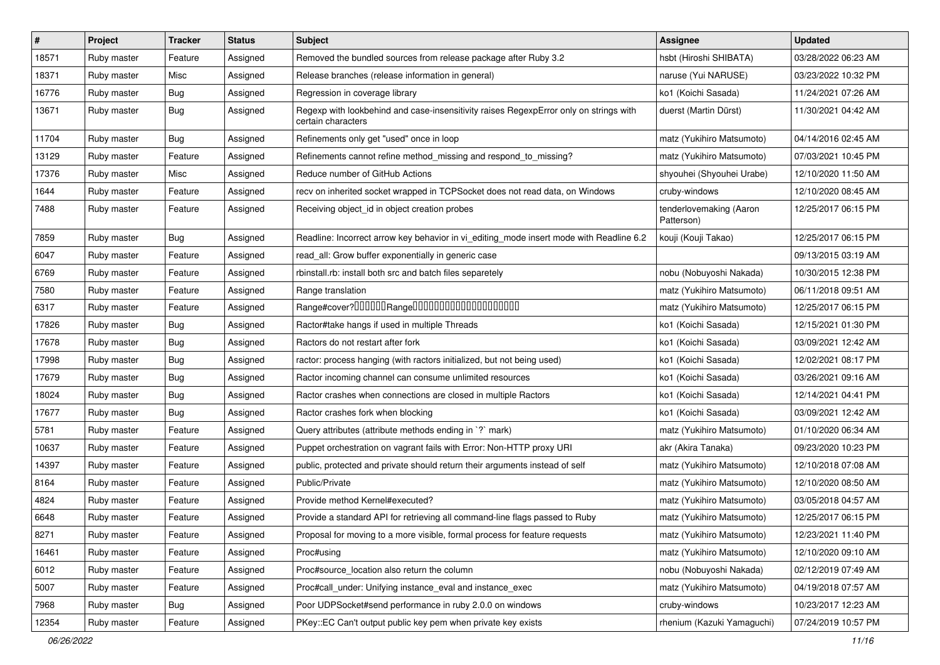| $\vert$ # | Project     | <b>Tracker</b> | <b>Status</b> | <b>Subject</b>                                                                                              | <b>Assignee</b>                       | <b>Updated</b>      |
|-----------|-------------|----------------|---------------|-------------------------------------------------------------------------------------------------------------|---------------------------------------|---------------------|
| 18571     | Ruby master | Feature        | Assigned      | Removed the bundled sources from release package after Ruby 3.2                                             | hsbt (Hiroshi SHIBATA)                | 03/28/2022 06:23 AM |
| 18371     | Ruby master | Misc           | Assigned      | Release branches (release information in general)                                                           | naruse (Yui NARUSE)                   | 03/23/2022 10:32 PM |
| 16776     | Ruby master | <b>Bug</b>     | Assigned      | Regression in coverage library                                                                              | ko1 (Koichi Sasada)                   | 11/24/2021 07:26 AM |
| 13671     | Ruby master | <b>Bug</b>     | Assigned      | Regexp with lookbehind and case-insensitivity raises RegexpError only on strings with<br>certain characters | duerst (Martin Dürst)                 | 11/30/2021 04:42 AM |
| 11704     | Ruby master | Bug            | Assigned      | Refinements only get "used" once in loop                                                                    | matz (Yukihiro Matsumoto)             | 04/14/2016 02:45 AM |
| 13129     | Ruby master | Feature        | Assigned      | Refinements cannot refine method_missing and respond_to_missing?                                            | matz (Yukihiro Matsumoto)             | 07/03/2021 10:45 PM |
| 17376     | Ruby master | Misc           | Assigned      | Reduce number of GitHub Actions                                                                             | shyouhei (Shyouhei Urabe)             | 12/10/2020 11:50 AM |
| 1644      | Ruby master | Feature        | Assigned      | recv on inherited socket wrapped in TCPSocket does not read data, on Windows                                | cruby-windows                         | 12/10/2020 08:45 AM |
| 7488      | Ruby master | Feature        | Assigned      | Receiving object_id in object creation probes                                                               | tenderlovemaking (Aaron<br>Patterson) | 12/25/2017 06:15 PM |
| 7859      | Ruby master | Bug            | Assigned      | Readline: Incorrect arrow key behavior in vi_editing_mode insert mode with Readline 6.2                     | kouji (Kouji Takao)                   | 12/25/2017 06:15 PM |
| 6047      | Ruby master | Feature        | Assigned      | read_all: Grow buffer exponentially in generic case                                                         |                                       | 09/13/2015 03:19 AM |
| 6769      | Ruby master | Feature        | Assigned      | rbinstall.rb: install both src and batch files separetely                                                   | nobu (Nobuyoshi Nakada)               | 10/30/2015 12:38 PM |
| 7580      | Ruby master | Feature        | Assigned      | Range translation                                                                                           | matz (Yukihiro Matsumoto)             | 06/11/2018 09:51 AM |
| 6317      | Ruby master | Feature        | Assigned      |                                                                                                             | matz (Yukihiro Matsumoto)             | 12/25/2017 06:15 PM |
| 17826     | Ruby master | <b>Bug</b>     | Assigned      | Ractor#take hangs if used in multiple Threads                                                               | ko1 (Koichi Sasada)                   | 12/15/2021 01:30 PM |
| 17678     | Ruby master | Bug            | Assigned      | Ractors do not restart after fork                                                                           | ko1 (Koichi Sasada)                   | 03/09/2021 12:42 AM |
| 17998     | Ruby master | <b>Bug</b>     | Assigned      | ractor: process hanging (with ractors initialized, but not being used)                                      | ko1 (Koichi Sasada)                   | 12/02/2021 08:17 PM |
| 17679     | Ruby master | <b>Bug</b>     | Assigned      | Ractor incoming channel can consume unlimited resources                                                     | ko1 (Koichi Sasada)                   | 03/26/2021 09:16 AM |
| 18024     | Ruby master | <b>Bug</b>     | Assigned      | Ractor crashes when connections are closed in multiple Ractors                                              | ko1 (Koichi Sasada)                   | 12/14/2021 04:41 PM |
| 17677     | Ruby master | Bug            | Assigned      | Ractor crashes fork when blocking                                                                           | ko1 (Koichi Sasada)                   | 03/09/2021 12:42 AM |
| 5781      | Ruby master | Feature        | Assigned      | Query attributes (attribute methods ending in `?` mark)                                                     | matz (Yukihiro Matsumoto)             | 01/10/2020 06:34 AM |
| 10637     | Ruby master | Feature        | Assigned      | Puppet orchestration on vagrant fails with Error: Non-HTTP proxy URI                                        | akr (Akira Tanaka)                    | 09/23/2020 10:23 PM |
| 14397     | Ruby master | Feature        | Assigned      | public, protected and private should return their arguments instead of self                                 | matz (Yukihiro Matsumoto)             | 12/10/2018 07:08 AM |
| 8164      | Ruby master | Feature        | Assigned      | Public/Private                                                                                              | matz (Yukihiro Matsumoto)             | 12/10/2020 08:50 AM |
| 4824      | Ruby master | Feature        | Assigned      | Provide method Kernel#executed?                                                                             | matz (Yukihiro Matsumoto)             | 03/05/2018 04:57 AM |
| 6648      | Ruby master | Feature        | Assigned      | Provide a standard API for retrieving all command-line flags passed to Ruby                                 | matz (Yukihiro Matsumoto)             | 12/25/2017 06:15 PM |
| 8271      | Ruby master | Feature        | Assigned      | Proposal for moving to a more visible, formal process for feature requests                                  | matz (Yukihiro Matsumoto)             | 12/23/2021 11:40 PM |
| 16461     | Ruby master | Feature        | Assigned      | Proc#using                                                                                                  | matz (Yukihiro Matsumoto)             | 12/10/2020 09:10 AM |
| 6012      | Ruby master | Feature        | Assigned      | Proc#source_location also return the column                                                                 | nobu (Nobuyoshi Nakada)               | 02/12/2019 07:49 AM |
| 5007      | Ruby master | Feature        | Assigned      | Proc#call_under: Unifying instance_eval and instance_exec                                                   | matz (Yukihiro Matsumoto)             | 04/19/2018 07:57 AM |
| 7968      | Ruby master | <b>Bug</b>     | Assigned      | Poor UDPSocket#send performance in ruby 2.0.0 on windows                                                    | cruby-windows                         | 10/23/2017 12:23 AM |
| 12354     | Ruby master | Feature        | Assigned      | PKey::EC Can't output public key pem when private key exists                                                | rhenium (Kazuki Yamaguchi)            | 07/24/2019 10:57 PM |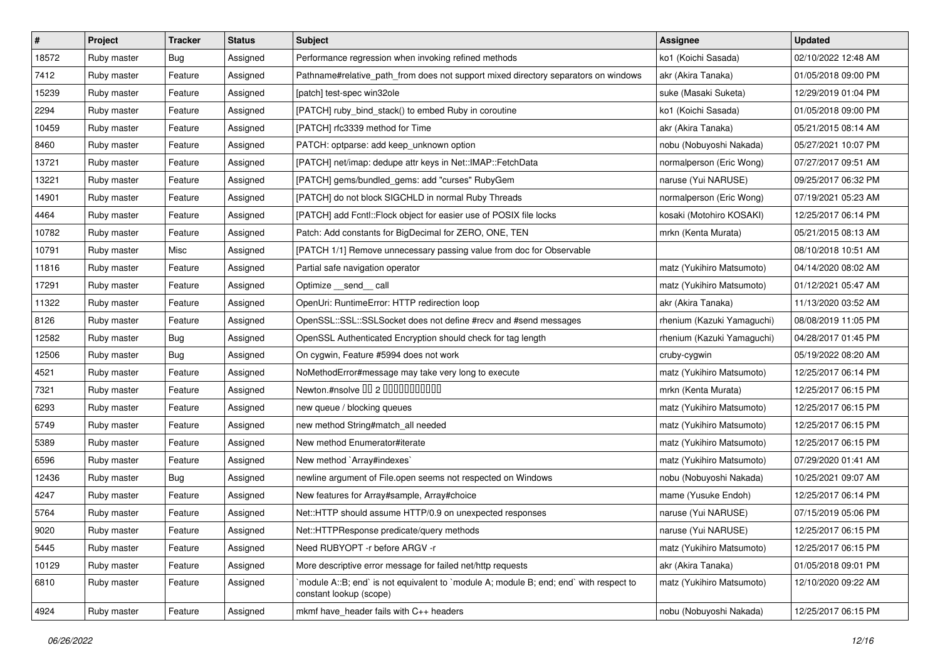| #     | Project     | <b>Tracker</b> | <b>Status</b> | Subject                                                                                                          | Assignee                   | <b>Updated</b>      |
|-------|-------------|----------------|---------------|------------------------------------------------------------------------------------------------------------------|----------------------------|---------------------|
| 18572 | Ruby master | Bug            | Assigned      | Performance regression when invoking refined methods                                                             | ko1 (Koichi Sasada)        | 02/10/2022 12:48 AM |
| 7412  | Ruby master | Feature        | Assigned      | Pathname#relative_path_from does not support mixed directory separators on windows                               | akr (Akira Tanaka)         | 01/05/2018 09:00 PM |
| 15239 | Ruby master | Feature        | Assigned      | [patch] test-spec win32ole                                                                                       | suke (Masaki Suketa)       | 12/29/2019 01:04 PM |
| 2294  | Ruby master | Feature        | Assigned      | [PATCH] ruby_bind_stack() to embed Ruby in coroutine                                                             | ko1 (Koichi Sasada)        | 01/05/2018 09:00 PM |
| 10459 | Ruby master | Feature        | Assigned      | [PATCH] rfc3339 method for Time                                                                                  | akr (Akira Tanaka)         | 05/21/2015 08:14 AM |
| 8460  | Ruby master | Feature        | Assigned      | PATCH: optparse: add keep_unknown option                                                                         | nobu (Nobuyoshi Nakada)    | 05/27/2021 10:07 PM |
| 13721 | Ruby master | Feature        | Assigned      | [PATCH] net/imap: dedupe attr keys in Net::IMAP::FetchData                                                       | normalperson (Eric Wong)   | 07/27/2017 09:51 AM |
| 13221 | Ruby master | Feature        | Assigned      | [PATCH] gems/bundled_gems: add "curses" RubyGem                                                                  | naruse (Yui NARUSE)        | 09/25/2017 06:32 PM |
| 14901 | Ruby master | Feature        | Assigned      | [PATCH] do not block SIGCHLD in normal Ruby Threads                                                              | normalperson (Eric Wong)   | 07/19/2021 05:23 AM |
| 4464  | Ruby master | Feature        | Assigned      | [PATCH] add Fcntl:: Flock object for easier use of POSIX file locks                                              | kosaki (Motohiro KOSAKI)   | 12/25/2017 06:14 PM |
| 10782 | Ruby master | Feature        | Assigned      | Patch: Add constants for BigDecimal for ZERO, ONE, TEN                                                           | mrkn (Kenta Murata)        | 05/21/2015 08:13 AM |
| 10791 | Ruby master | Misc           | Assigned      | [PATCH 1/1] Remove unnecessary passing value from doc for Observable                                             |                            | 08/10/2018 10:51 AM |
| 11816 | Ruby master | Feature        | Assigned      | Partial safe navigation operator                                                                                 | matz (Yukihiro Matsumoto)  | 04/14/2020 08:02 AM |
| 17291 | Ruby master | Feature        | Assigned      | Optimize __send__ call                                                                                           | matz (Yukihiro Matsumoto)  | 01/12/2021 05:47 AM |
| 11322 | Ruby master | Feature        | Assigned      | OpenUri: RuntimeError: HTTP redirection loop                                                                     | akr (Akira Tanaka)         | 11/13/2020 03:52 AM |
| 8126  | Ruby master | Feature        | Assigned      | OpenSSL::SSL::SSLSocket does not define #recv and #send messages                                                 | rhenium (Kazuki Yamaguchi) | 08/08/2019 11:05 PM |
| 12582 | Ruby master | Bug            | Assigned      | OpenSSL Authenticated Encryption should check for tag length                                                     | rhenium (Kazuki Yamaguchi) | 04/28/2017 01:45 PM |
| 12506 | Ruby master | <b>Bug</b>     | Assigned      | On cygwin, Feature #5994 does not work                                                                           | cruby-cygwin               | 05/19/2022 08:20 AM |
| 4521  | Ruby master | Feature        | Assigned      | NoMethodError#message may take very long to execute                                                              | matz (Yukihiro Matsumoto)  | 12/25/2017 06:14 PM |
| 7321  | Ruby master | Feature        | Assigned      | Newton.#nsolve 00 2 00000000000                                                                                  | mrkn (Kenta Murata)        | 12/25/2017 06:15 PM |
| 6293  | Ruby master | Feature        | Assigned      | new queue / blocking queues                                                                                      | matz (Yukihiro Matsumoto)  | 12/25/2017 06:15 PM |
| 5749  | Ruby master | Feature        | Assigned      | new method String#match_all needed                                                                               | matz (Yukihiro Matsumoto)  | 12/25/2017 06:15 PM |
| 5389  | Ruby master | Feature        | Assigned      | New method Enumerator#iterate                                                                                    | matz (Yukihiro Matsumoto)  | 12/25/2017 06:15 PM |
| 6596  | Ruby master | Feature        | Assigned      | New method `Array#indexes`                                                                                       | matz (Yukihiro Matsumoto)  | 07/29/2020 01:41 AM |
| 12436 | Ruby master | Bug            | Assigned      | newline argument of File.open seems not respected on Windows                                                     | nobu (Nobuyoshi Nakada)    | 10/25/2021 09:07 AM |
| 4247  | Ruby master | Feature        | Assigned      | New features for Array#sample, Array#choice                                                                      | mame (Yusuke Endoh)        | 12/25/2017 06:14 PM |
| 5764  | Ruby master | Feature        | Assigned      | Net::HTTP should assume HTTP/0.9 on unexpected responses                                                         | naruse (Yui NARUSE)        | 07/15/2019 05:06 PM |
| 9020  | Ruby master | Feature        | Assigned      | Net::HTTPResponse predicate/query methods                                                                        | naruse (Yui NARUSE)        | 12/25/2017 06:15 PM |
| 5445  | Ruby master | Feature        | Assigned      | Need RUBYOPT -r before ARGV -r                                                                                   | matz (Yukihiro Matsumoto)  | 12/25/2017 06:15 PM |
| 10129 | Ruby master | Feature        | Assigned      | More descriptive error message for failed net/http requests                                                      | akr (Akira Tanaka)         | 01/05/2018 09:01 PM |
| 6810  | Ruby master | Feature        | Assigned      | module A::B; end` is not equivalent to `module A; module B; end; end` with respect to<br>constant lookup (scope) | matz (Yukihiro Matsumoto)  | 12/10/2020 09:22 AM |
| 4924  | Ruby master | Feature        | Assigned      | mkmf have_header fails with C++ headers                                                                          | nobu (Nobuyoshi Nakada)    | 12/25/2017 06:15 PM |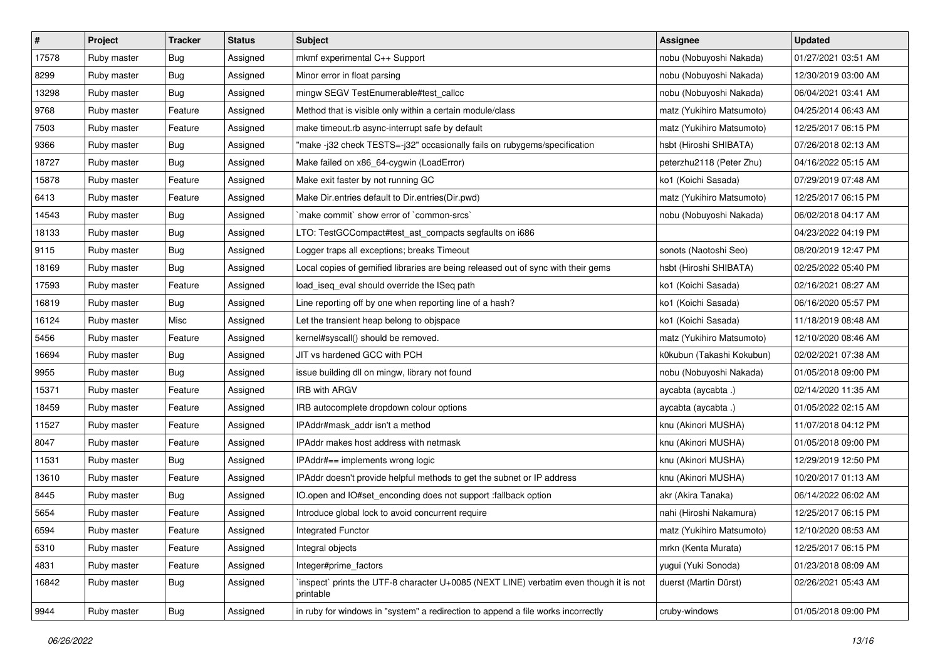| $\vert$ # | Project     | <b>Tracker</b> | <b>Status</b> | <b>Subject</b>                                                                                      | Assignee                  | <b>Updated</b>      |
|-----------|-------------|----------------|---------------|-----------------------------------------------------------------------------------------------------|---------------------------|---------------------|
| 17578     | Ruby master | Bug            | Assigned      | mkmf experimental C++ Support                                                                       | nobu (Nobuyoshi Nakada)   | 01/27/2021 03:51 AM |
| 8299      | Ruby master | <b>Bug</b>     | Assigned      | Minor error in float parsing                                                                        | nobu (Nobuyoshi Nakada)   | 12/30/2019 03:00 AM |
| 13298     | Ruby master | Bug            | Assigned      | mingw SEGV TestEnumerable#test_callcc                                                               | nobu (Nobuyoshi Nakada)   | 06/04/2021 03:41 AM |
| 9768      | Ruby master | Feature        | Assigned      | Method that is visible only within a certain module/class                                           | matz (Yukihiro Matsumoto) | 04/25/2014 06:43 AM |
| 7503      | Ruby master | Feature        | Assigned      | make timeout.rb async-interrupt safe by default                                                     | matz (Yukihiro Matsumoto) | 12/25/2017 06:15 PM |
| 9366      | Ruby master | <b>Bug</b>     | Assigned      | "make -j32 check TESTS=-j32" occasionally fails on rubygems/specification                           | hsbt (Hiroshi SHIBATA)    | 07/26/2018 02:13 AM |
| 18727     | Ruby master | Bug            | Assigned      | Make failed on x86_64-cygwin (LoadError)                                                            | peterzhu2118 (Peter Zhu)  | 04/16/2022 05:15 AM |
| 15878     | Ruby master | Feature        | Assigned      | Make exit faster by not running GC                                                                  | ko1 (Koichi Sasada)       | 07/29/2019 07:48 AM |
| 6413      | Ruby master | Feature        | Assigned      | Make Dir.entries default to Dir.entries(Dir.pwd)                                                    | matz (Yukihiro Matsumoto) | 12/25/2017 06:15 PM |
| 14543     | Ruby master | <b>Bug</b>     | Assigned      | `make commit` show error of `common-srcs`                                                           | nobu (Nobuyoshi Nakada)   | 06/02/2018 04:17 AM |
| 18133     | Ruby master | <b>Bug</b>     | Assigned      | LTO: TestGCCompact#test_ast_compacts segfaults on i686                                              |                           | 04/23/2022 04:19 PM |
| 9115      | Ruby master | <b>Bug</b>     | Assigned      | Logger traps all exceptions; breaks Timeout                                                         | sonots (Naotoshi Seo)     | 08/20/2019 12:47 PM |
| 18169     | Ruby master | Bug            | Assigned      | Local copies of gemified libraries are being released out of sync with their gems                   | hsbt (Hiroshi SHIBATA)    | 02/25/2022 05:40 PM |
| 17593     | Ruby master | Feature        | Assigned      | load_iseq_eval should override the ISeq path                                                        | ko1 (Koichi Sasada)       | 02/16/2021 08:27 AM |
| 16819     | Ruby master | <b>Bug</b>     | Assigned      | Line reporting off by one when reporting line of a hash?                                            | ko1 (Koichi Sasada)       | 06/16/2020 05:57 PM |
| 16124     | Ruby master | Misc           | Assigned      | Let the transient heap belong to objspace                                                           | ko1 (Koichi Sasada)       | 11/18/2019 08:48 AM |
| 5456      | Ruby master | Feature        | Assigned      | kernel#syscall() should be removed.                                                                 | matz (Yukihiro Matsumoto) | 12/10/2020 08:46 AM |
| 16694     | Ruby master | Bug            | Assigned      | JIT vs hardened GCC with PCH                                                                        | k0kubun (Takashi Kokubun) | 02/02/2021 07:38 AM |
| 9955      | Ruby master | Bug            | Assigned      | issue building dll on mingw, library not found                                                      | nobu (Nobuyoshi Nakada)   | 01/05/2018 09:00 PM |
| 15371     | Ruby master | Feature        | Assigned      | IRB with ARGV                                                                                       | aycabta (aycabta.)        | 02/14/2020 11:35 AM |
| 18459     | Ruby master | Feature        | Assigned      | IRB autocomplete dropdown colour options                                                            | aycabta (aycabta .)       | 01/05/2022 02:15 AM |
| 11527     | Ruby master | Feature        | Assigned      | IPAddr#mask_addr isn't a method                                                                     | knu (Akinori MUSHA)       | 11/07/2018 04:12 PM |
| 8047      | Ruby master | Feature        | Assigned      | IPAddr makes host address with netmask                                                              | knu (Akinori MUSHA)       | 01/05/2018 09:00 PM |
| 11531     | Ruby master | <b>Bug</b>     | Assigned      | IPAddr#== implements wrong logic                                                                    | knu (Akinori MUSHA)       | 12/29/2019 12:50 PM |
| 13610     | Ruby master | Feature        | Assigned      | IPAddr doesn't provide helpful methods to get the subnet or IP address                              | knu (Akinori MUSHA)       | 10/20/2017 01:13 AM |
| 8445      | Ruby master | Bug            | Assigned      | IO.open and IO#set_enconding does not support :fallback option                                      | akr (Akira Tanaka)        | 06/14/2022 06:02 AM |
| 5654      | Ruby master | Feature        | Assigned      | Introduce global lock to avoid concurrent require                                                   | nahi (Hiroshi Nakamura)   | 12/25/2017 06:15 PM |
| 6594      | Ruby master | Feature        | Assigned      | Integrated Functor                                                                                  | matz (Yukihiro Matsumoto) | 12/10/2020 08:53 AM |
| 5310      | Ruby master | Feature        | Assigned      | Integral objects                                                                                    | mrkn (Kenta Murata)       | 12/25/2017 06:15 PM |
| 4831      | Ruby master | Feature        | Assigned      | Integer#prime factors                                                                               | yugui (Yuki Sonoda)       | 01/23/2018 08:09 AM |
| 16842     | Ruby master | <b>Bug</b>     | Assigned      | 'inspect' prints the UTF-8 character U+0085 (NEXT LINE) verbatim even though it is not<br>printable | duerst (Martin Dürst)     | 02/26/2021 05:43 AM |
| 9944      | Ruby master | Bug            | Assigned      | in ruby for windows in "system" a redirection to append a file works incorrectly                    | cruby-windows             | 01/05/2018 09:00 PM |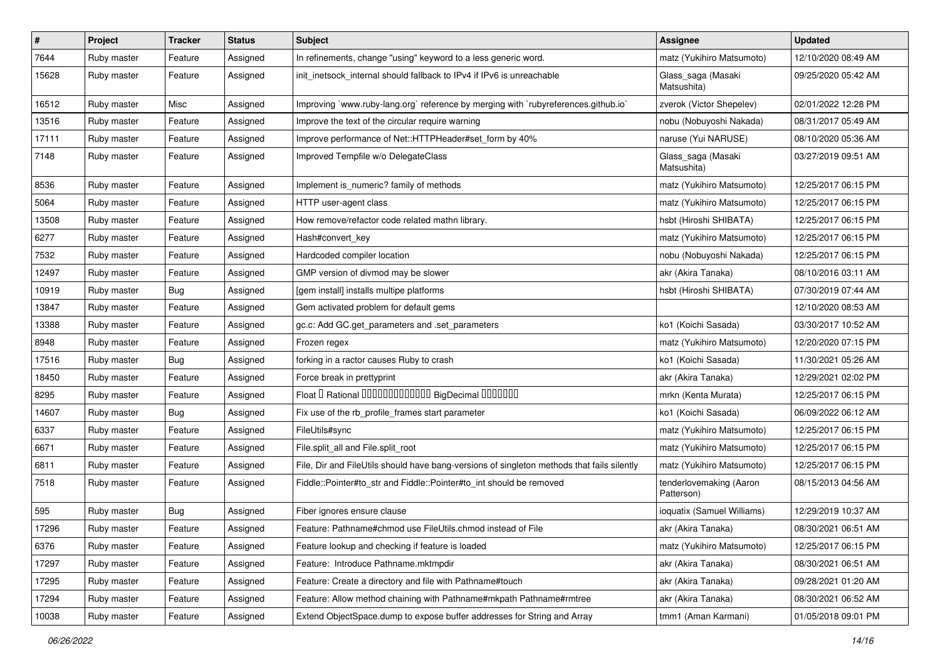| $\pmb{\#}$ | Project     | <b>Tracker</b> | <b>Status</b> | <b>Subject</b>                                                                             | Assignee                              | <b>Updated</b>      |
|------------|-------------|----------------|---------------|--------------------------------------------------------------------------------------------|---------------------------------------|---------------------|
| 7644       | Ruby master | Feature        | Assigned      | In refinements, change "using" keyword to a less generic word.                             | matz (Yukihiro Matsumoto)             | 12/10/2020 08:49 AM |
| 15628      | Ruby master | Feature        | Assigned      | init_inetsock_internal should fallback to IPv4 if IPv6 is unreachable                      | Glass_saga (Masaki<br>Matsushita)     | 09/25/2020 05:42 AM |
| 16512      | Ruby master | Misc           | Assigned      | Improving `www.ruby-lang.org` reference by merging with `rubyreferences.github.io`         | zverok (Victor Shepelev)              | 02/01/2022 12:28 PM |
| 13516      | Ruby master | Feature        | Assigned      | Improve the text of the circular require warning                                           | nobu (Nobuyoshi Nakada)               | 08/31/2017 05:49 AM |
| 17111      | Ruby master | Feature        | Assigned      | Improve performance of Net::HTTPHeader#set form by 40%                                     | naruse (Yui NARUSE)                   | 08/10/2020 05:36 AM |
| 7148       | Ruby master | Feature        | Assigned      | Improved Tempfile w/o DelegateClass                                                        | Glass_saga (Masaki<br>Matsushita)     | 03/27/2019 09:51 AM |
| 8536       | Ruby master | Feature        | Assigned      | Implement is_numeric? family of methods                                                    | matz (Yukihiro Matsumoto)             | 12/25/2017 06:15 PM |
| 5064       | Ruby master | Feature        | Assigned      | HTTP user-agent class                                                                      | matz (Yukihiro Matsumoto)             | 12/25/2017 06:15 PM |
| 13508      | Ruby master | Feature        | Assigned      | How remove/refactor code related mathn library.                                            | hsbt (Hiroshi SHIBATA)                | 12/25/2017 06:15 PM |
| 6277       | Ruby master | Feature        | Assigned      | Hash#convert key                                                                           | matz (Yukihiro Matsumoto)             | 12/25/2017 06:15 PM |
| 7532       | Ruby master | Feature        | Assigned      | Hardcoded compiler location                                                                | nobu (Nobuyoshi Nakada)               | 12/25/2017 06:15 PM |
| 12497      | Ruby master | Feature        | Assigned      | GMP version of divmod may be slower                                                        | akr (Akira Tanaka)                    | 08/10/2016 03:11 AM |
| 10919      | Ruby master | Bug            | Assigned      | [gem install] installs multipe platforms                                                   | hsbt (Hiroshi SHIBATA)                | 07/30/2019 07:44 AM |
| 13847      | Ruby master | Feature        | Assigned      | Gem activated problem for default gems                                                     |                                       | 12/10/2020 08:53 AM |
| 13388      | Ruby master | Feature        | Assigned      | gc.c: Add GC.get_parameters and .set_parameters                                            | ko1 (Koichi Sasada)                   | 03/30/2017 10:52 AM |
| 8948       | Ruby master | Feature        | Assigned      | Frozen regex                                                                               | matz (Yukihiro Matsumoto)             | 12/20/2020 07:15 PM |
| 17516      | Ruby master | Bug            | Assigned      | forking in a ractor causes Ruby to crash                                                   | ko1 (Koichi Sasada)                   | 11/30/2021 05:26 AM |
| 18450      | Ruby master | Feature        | Assigned      | Force break in prettyprint                                                                 | akr (Akira Tanaka)                    | 12/29/2021 02:02 PM |
| 8295       | Ruby master | Feature        | Assigned      | Float I Rational 0000000000000 BigDecimal 0000000                                          | mrkn (Kenta Murata)                   | 12/25/2017 06:15 PM |
| 14607      | Ruby master | Bug            | Assigned      | Fix use of the rb_profile_frames start parameter                                           | ko1 (Koichi Sasada)                   | 06/09/2022 06:12 AM |
| 6337       | Ruby master | Feature        | Assigned      | FileUtils#sync                                                                             | matz (Yukihiro Matsumoto)             | 12/25/2017 06:15 PM |
| 6671       | Ruby master | Feature        | Assigned      | File.split all and File.split root                                                         | matz (Yukihiro Matsumoto)             | 12/25/2017 06:15 PM |
| 6811       | Ruby master | Feature        | Assigned      | File, Dir and FileUtils should have bang-versions of singleton methods that fails silently | matz (Yukihiro Matsumoto)             | 12/25/2017 06:15 PM |
| 7518       | Ruby master | Feature        | Assigned      | Fiddle::Pointer#to_str and Fiddle::Pointer#to_int should be removed                        | tenderlovemaking (Aaron<br>Patterson) | 08/15/2013 04:56 AM |
| 595        | Ruby master | Bug            | Assigned      | Fiber ignores ensure clause                                                                | ioquatix (Samuel Williams)            | 12/29/2019 10:37 AM |
| 17296      | Ruby master | Feature        | Assigned      | Feature: Pathname#chmod use FileUtils.chmod instead of File                                | akr (Akira Tanaka)                    | 08/30/2021 06:51 AM |
| 6376       | Ruby master | Feature        | Assigned      | Feature lookup and checking if feature is loaded                                           | matz (Yukihiro Matsumoto)             | 12/25/2017 06:15 PM |
| 17297      | Ruby master | Feature        | Assigned      | Feature: Introduce Pathname.mktmpdir                                                       | akr (Akira Tanaka)                    | 08/30/2021 06:51 AM |
| 17295      | Ruby master | Feature        | Assigned      | Feature: Create a directory and file with Pathname#touch                                   | akr (Akira Tanaka)                    | 09/28/2021 01:20 AM |
| 17294      | Ruby master | Feature        | Assigned      | Feature: Allow method chaining with Pathname#mkpath Pathname#rmtree                        | akr (Akira Tanaka)                    | 08/30/2021 06:52 AM |
| 10038      | Ruby master | Feature        | Assigned      | Extend ObjectSpace.dump to expose buffer addresses for String and Array                    | tmm1 (Aman Karmani)                   | 01/05/2018 09:01 PM |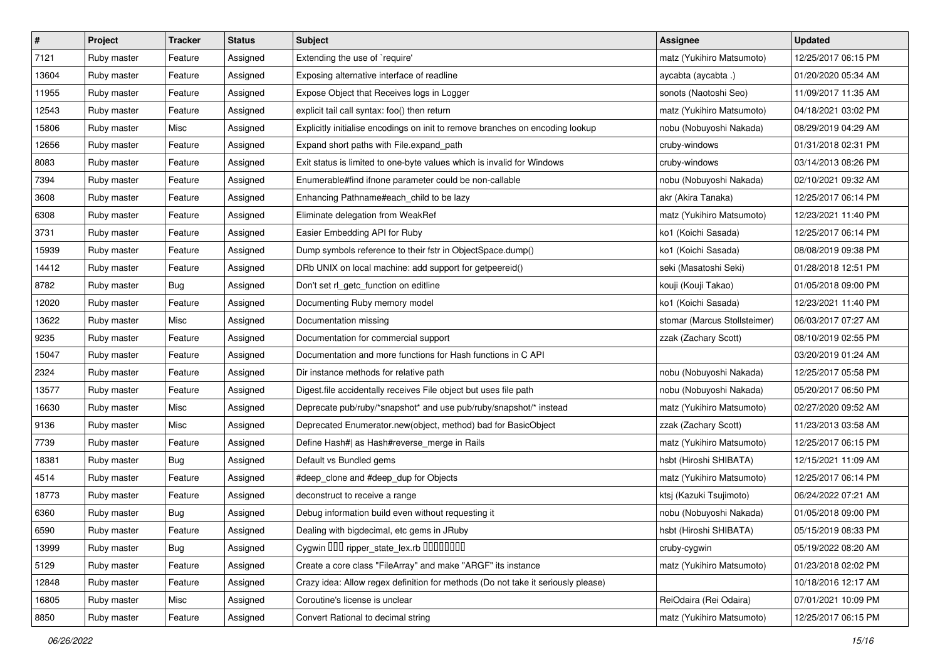| $\vert$ # | Project     | <b>Tracker</b> | <b>Status</b> | Subject                                                                          | Assignee                     | <b>Updated</b>      |
|-----------|-------------|----------------|---------------|----------------------------------------------------------------------------------|------------------------------|---------------------|
| 7121      | Ruby master | Feature        | Assigned      | Extending the use of `require'                                                   | matz (Yukihiro Matsumoto)    | 12/25/2017 06:15 PM |
| 13604     | Ruby master | Feature        | Assigned      | Exposing alternative interface of readline                                       | aycabta (aycabta.)           | 01/20/2020 05:34 AM |
| 11955     | Ruby master | Feature        | Assigned      | Expose Object that Receives logs in Logger                                       | sonots (Naotoshi Seo)        | 11/09/2017 11:35 AM |
| 12543     | Ruby master | Feature        | Assigned      | explicit tail call syntax: foo() then return                                     | matz (Yukihiro Matsumoto)    | 04/18/2021 03:02 PM |
| 15806     | Ruby master | Misc           | Assigned      | Explicitly initialise encodings on init to remove branches on encoding lookup    | nobu (Nobuyoshi Nakada)      | 08/29/2019 04:29 AM |
| 12656     | Ruby master | Feature        | Assigned      | Expand short paths with File.expand_path                                         | cruby-windows                | 01/31/2018 02:31 PM |
| 8083      | Ruby master | Feature        | Assigned      | Exit status is limited to one-byte values which is invalid for Windows           | cruby-windows                | 03/14/2013 08:26 PM |
| 7394      | Ruby master | Feature        | Assigned      | Enumerable#find ifnone parameter could be non-callable                           | nobu (Nobuyoshi Nakada)      | 02/10/2021 09:32 AM |
| 3608      | Ruby master | Feature        | Assigned      | Enhancing Pathname#each_child to be lazy                                         | akr (Akira Tanaka)           | 12/25/2017 06:14 PM |
| 6308      | Ruby master | Feature        | Assigned      | Eliminate delegation from WeakRef                                                | matz (Yukihiro Matsumoto)    | 12/23/2021 11:40 PM |
| 3731      | Ruby master | Feature        | Assigned      | Easier Embedding API for Ruby                                                    | ko1 (Koichi Sasada)          | 12/25/2017 06:14 PM |
| 15939     | Ruby master | Feature        | Assigned      | Dump symbols reference to their fstr in ObjectSpace.dump()                       | ko1 (Koichi Sasada)          | 08/08/2019 09:38 PM |
| 14412     | Ruby master | Feature        | Assigned      | DRb UNIX on local machine: add support for getpeereid()                          | seki (Masatoshi Seki)        | 01/28/2018 12:51 PM |
| 8782      | Ruby master | <b>Bug</b>     | Assigned      | Don't set rl_getc_function on editline                                           | kouji (Kouji Takao)          | 01/05/2018 09:00 PM |
| 12020     | Ruby master | Feature        | Assigned      | Documenting Ruby memory model                                                    | ko1 (Koichi Sasada)          | 12/23/2021 11:40 PM |
| 13622     | Ruby master | Misc           | Assigned      | Documentation missing                                                            | stomar (Marcus Stollsteimer) | 06/03/2017 07:27 AM |
| 9235      | Ruby master | Feature        | Assigned      | Documentation for commercial support                                             | zzak (Zachary Scott)         | 08/10/2019 02:55 PM |
| 15047     | Ruby master | Feature        | Assigned      | Documentation and more functions for Hash functions in C API                     |                              | 03/20/2019 01:24 AM |
| 2324      | Ruby master | Feature        | Assigned      | Dir instance methods for relative path                                           | nobu (Nobuyoshi Nakada)      | 12/25/2017 05:58 PM |
| 13577     | Ruby master | Feature        | Assigned      | Digest file accidentally receives File object but uses file path                 | nobu (Nobuyoshi Nakada)      | 05/20/2017 06:50 PM |
| 16630     | Ruby master | Misc           | Assigned      | Deprecate pub/ruby/*snapshot* and use pub/ruby/snapshot/* instead                | matz (Yukihiro Matsumoto)    | 02/27/2020 09:52 AM |
| 9136      | Ruby master | Misc           | Assigned      | Deprecated Enumerator.new(object, method) bad for BasicObject                    | zzak (Zachary Scott)         | 11/23/2013 03:58 AM |
| 7739      | Ruby master | Feature        | Assigned      | Define Hash#  as Hash#reverse_merge in Rails                                     | matz (Yukihiro Matsumoto)    | 12/25/2017 06:15 PM |
| 18381     | Ruby master | <b>Bug</b>     | Assigned      | Default vs Bundled gems                                                          | hsbt (Hiroshi SHIBATA)       | 12/15/2021 11:09 AM |
| 4514      | Ruby master | Feature        | Assigned      | #deep_clone and #deep_dup for Objects                                            | matz (Yukihiro Matsumoto)    | 12/25/2017 06:14 PM |
| 18773     | Ruby master | Feature        | Assigned      | deconstruct to receive a range                                                   | ktsj (Kazuki Tsujimoto)      | 06/24/2022 07:21 AM |
| 6360      | Ruby master | <b>Bug</b>     | Assigned      | Debug information build even without requesting it                               | nobu (Nobuyoshi Nakada)      | 01/05/2018 09:00 PM |
| 6590      | Ruby master | Feature        | Assigned      | Dealing with bigdecimal, etc gems in JRuby                                       | hsbt (Hiroshi SHIBATA)       | 05/15/2019 08:33 PM |
| 13999     | Ruby master | <b>Bug</b>     | Assigned      | Cygwin DDD ripper_state_lex.rb DDDDDDD                                           | cruby-cygwin                 | 05/19/2022 08:20 AM |
| 5129      | Ruby master | Feature        | Assigned      | Create a core class "FileArray" and make "ARGF" its instance                     | matz (Yukihiro Matsumoto)    | 01/23/2018 02:02 PM |
| 12848     | Ruby master | Feature        | Assigned      | Crazy idea: Allow regex definition for methods (Do not take it seriously please) |                              | 10/18/2016 12:17 AM |
| 16805     | Ruby master | Misc           | Assigned      | Coroutine's license is unclear                                                   | ReiOdaira (Rei Odaira)       | 07/01/2021 10:09 PM |
| 8850      | Ruby master | Feature        | Assigned      | Convert Rational to decimal string                                               | matz (Yukihiro Matsumoto)    | 12/25/2017 06:15 PM |